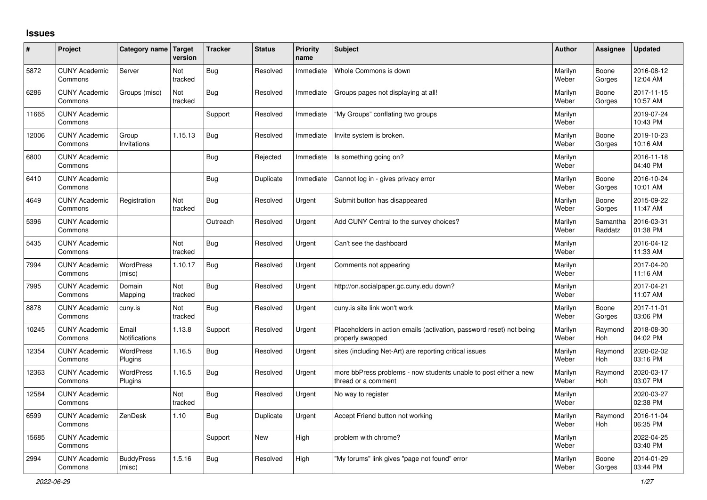## **Issues**

| #     | Project                         | Category name Target        | version        | <b>Tracker</b> | <b>Status</b> | <b>Priority</b><br>name | <b>Subject</b>                                                                           | <b>Author</b>    | Assignee              | <b>Updated</b>         |
|-------|---------------------------------|-----------------------------|----------------|----------------|---------------|-------------------------|------------------------------------------------------------------------------------------|------------------|-----------------------|------------------------|
| 5872  | <b>CUNY Academic</b><br>Commons | Server                      | Not<br>tracked | Bug            | Resolved      | Immediate               | Whole Commons is down                                                                    | Marilyn<br>Weber | Boone<br>Gorges       | 2016-08-12<br>12:04 AM |
| 6286  | <b>CUNY Academic</b><br>Commons | Groups (misc)               | Not<br>tracked | <b>Bug</b>     | Resolved      | Immediate               | Groups pages not displaying at all!                                                      | Marilyn<br>Weber | Boone<br>Gorges       | 2017-11-15<br>10:57 AM |
| 11665 | <b>CUNY Academic</b><br>Commons |                             |                | Support        | Resolved      | Immediate               | "My Groups" conflating two groups                                                        | Marilyn<br>Weber |                       | 2019-07-24<br>10:43 PM |
| 12006 | <b>CUNY Academic</b><br>Commons | Group<br>Invitations        | 1.15.13        | <b>Bug</b>     | Resolved      | Immediate               | Invite system is broken.                                                                 | Marilyn<br>Weber | Boone<br>Gorges       | 2019-10-23<br>10:16 AM |
| 6800  | <b>CUNY Academic</b><br>Commons |                             |                | <b>Bug</b>     | Rejected      | Immediate               | Is something going on?                                                                   | Marilyn<br>Weber |                       | 2016-11-18<br>04:40 PM |
| 6410  | <b>CUNY Academic</b><br>Commons |                             |                | Bug            | Duplicate     | Immediate               | Cannot log in - gives privacy error                                                      | Marilyn<br>Weber | Boone<br>Gorges       | 2016-10-24<br>10:01 AM |
| 4649  | <b>CUNY Academic</b><br>Commons | Registration                | Not<br>tracked | Bug            | Resolved      | Urgent                  | Submit button has disappeared                                                            | Marilyn<br>Weber | Boone<br>Gorges       | 2015-09-22<br>11:47 AM |
| 5396  | <b>CUNY Academic</b><br>Commons |                             |                | Outreach       | Resolved      | Urgent                  | Add CUNY Central to the survey choices?                                                  | Marilyn<br>Weber | Samantha<br>Raddatz   | 2016-03-31<br>01:38 PM |
| 5435  | <b>CUNY Academic</b><br>Commons |                             | Not<br>tracked | <b>Bug</b>     | Resolved      | Urgent                  | Can't see the dashboard                                                                  | Marilyn<br>Weber |                       | 2016-04-12<br>11:33 AM |
| 7994  | <b>CUNY Academic</b><br>Commons | <b>WordPress</b><br>(misc)  | 1.10.17        | Bug            | Resolved      | Urgent                  | Comments not appearing                                                                   | Marilyn<br>Weber |                       | 2017-04-20<br>11:16 AM |
| 7995  | <b>CUNY Academic</b><br>Commons | Domain<br>Mapping           | Not<br>tracked | <b>Bug</b>     | Resolved      | Urgent                  | http://on.socialpaper.gc.cuny.edu down?                                                  | Marilyn<br>Weber |                       | 2017-04-21<br>11:07 AM |
| 8878  | <b>CUNY Academic</b><br>Commons | cuny.is                     | Not<br>tracked | <b>Bug</b>     | Resolved      | Urgent                  | cuny.is site link won't work                                                             | Marilyn<br>Weber | Boone<br>Gorges       | 2017-11-01<br>03:06 PM |
| 10245 | <b>CUNY Academic</b><br>Commons | Email<br>Notifications      | 1.13.8         | Support        | Resolved      | Urgent                  | Placeholders in action emails (activation, password reset) not being<br>properly swapped | Marilyn<br>Weber | Raymond<br>Hoh        | 2018-08-30<br>04:02 PM |
| 12354 | <b>CUNY Academic</b><br>Commons | WordPress<br>Plugins        | 1.16.5         | <b>Bug</b>     | Resolved      | Urgent                  | sites (including Net-Art) are reporting critical issues                                  | Marilyn<br>Weber | Raymond<br><b>Hoh</b> | 2020-02-02<br>03:16 PM |
| 12363 | <b>CUNY Academic</b><br>Commons | <b>WordPress</b><br>Plugins | 1.16.5         | <b>Bug</b>     | Resolved      | Urgent                  | more bbPress problems - now students unable to post either a new<br>thread or a comment  | Marilyn<br>Weber | Raymond<br>Hoh        | 2020-03-17<br>03:07 PM |
| 12584 | <b>CUNY Academic</b><br>Commons |                             | Not<br>tracked | <b>Bug</b>     | Resolved      | Urgent                  | No way to register                                                                       | Marilyn<br>Weber |                       | 2020-03-27<br>02:38 PM |
| 6599  | <b>CUNY Academic</b><br>Commons | ZenDesk                     | 1.10           | Bug            | Duplicate     | Urgent                  | Accept Friend button not working                                                         | Marilyn<br>Weber | Raymond<br><b>Hoh</b> | 2016-11-04<br>06:35 PM |
| 15685 | <b>CUNY Academic</b><br>Commons |                             |                | Support        | <b>New</b>    | High                    | problem with chrome?                                                                     | Marilyn<br>Weber |                       | 2022-04-25<br>03:40 PM |
| 2994  | <b>CUNY Academic</b><br>Commons | <b>BuddyPress</b><br>(misc) | 1.5.16         | Bug            | Resolved      | High                    | "My forums" link gives "page not found" error                                            | Marilyn<br>Weber | Boone<br>Gorges       | 2014-01-29<br>03:44 PM |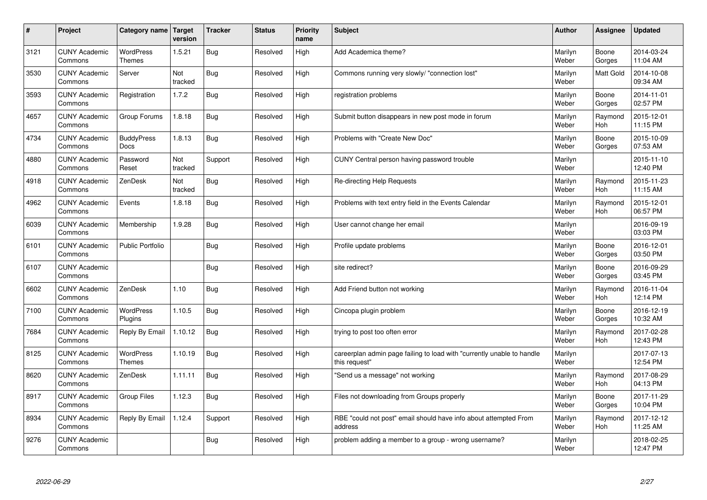| #    | Project                         | Category name                     | Target<br>version | <b>Tracker</b> | <b>Status</b> | <b>Priority</b><br>name | <b>Subject</b>                                                                          | <b>Author</b>    | Assignee         | <b>Updated</b>         |
|------|---------------------------------|-----------------------------------|-------------------|----------------|---------------|-------------------------|-----------------------------------------------------------------------------------------|------------------|------------------|------------------------|
| 3121 | <b>CUNY Academic</b><br>Commons | <b>WordPress</b><br><b>Themes</b> | 1.5.21            | Bug            | Resolved      | High                    | Add Academica theme?                                                                    | Marilyn<br>Weber | Boone<br>Gorges  | 2014-03-24<br>11:04 AM |
| 3530 | <b>CUNY Academic</b><br>Commons | Server                            | Not<br>tracked    | Bug            | Resolved      | High                    | Commons running very slowly/ "connection lost"                                          | Marilyn<br>Weber | <b>Matt Gold</b> | 2014-10-08<br>09:34 AM |
| 3593 | <b>CUNY Academic</b><br>Commons | Registration                      | 1.7.2             | <b>Bug</b>     | Resolved      | High                    | registration problems                                                                   | Marilyn<br>Weber | Boone<br>Gorges  | 2014-11-01<br>02:57 PM |
| 4657 | <b>CUNY Academic</b><br>Commons | Group Forums                      | 1.8.18            | <b>Bug</b>     | Resolved      | High                    | Submit button disappears in new post mode in forum                                      | Marilyn<br>Weber | Raymond<br>Hoh   | 2015-12-01<br>11:15 PM |
| 4734 | <b>CUNY Academic</b><br>Commons | <b>BuddyPress</b><br>Docs         | 1.8.13            | Bug            | Resolved      | High                    | Problems with "Create New Doc"                                                          | Marilyn<br>Weber | Boone<br>Gorges  | 2015-10-09<br>07:53 AM |
| 4880 | <b>CUNY Academic</b><br>Commons | Password<br>Reset                 | Not<br>tracked    | Support        | Resolved      | High                    | CUNY Central person having password trouble                                             | Marilyn<br>Weber |                  | 2015-11-10<br>12:40 PM |
| 4918 | <b>CUNY Academic</b><br>Commons | ZenDesk                           | Not<br>tracked    | <b>Bug</b>     | Resolved      | High                    | Re-directing Help Requests                                                              | Marilyn<br>Weber | Raymond<br>Hoh   | 2015-11-23<br>11:15 AM |
| 4962 | <b>CUNY Academic</b><br>Commons | Events                            | 1.8.18            | <b>Bug</b>     | Resolved      | High                    | Problems with text entry field in the Events Calendar                                   | Marilyn<br>Weber | Raymond<br>Hoh   | 2015-12-01<br>06:57 PM |
| 6039 | <b>CUNY Academic</b><br>Commons | Membership                        | 1.9.28            | Bug            | Resolved      | High                    | User cannot change her email                                                            | Marilyn<br>Weber |                  | 2016-09-19<br>03:03 PM |
| 6101 | <b>CUNY Academic</b><br>Commons | <b>Public Portfolio</b>           |                   | <b>Bug</b>     | Resolved      | High                    | Profile update problems                                                                 | Marilyn<br>Weber | Boone<br>Gorges  | 2016-12-01<br>03:50 PM |
| 6107 | <b>CUNY Academic</b><br>Commons |                                   |                   | <b>Bug</b>     | Resolved      | High                    | site redirect?                                                                          | Marilyn<br>Weber | Boone<br>Gorges  | 2016-09-29<br>03:45 PM |
| 6602 | <b>CUNY Academic</b><br>Commons | ZenDesk                           | 1.10              | Bug            | Resolved      | High                    | Add Friend button not working                                                           | Marilyn<br>Weber | Raymond<br>Hoh   | 2016-11-04<br>12:14 PM |
| 7100 | <b>CUNY Academic</b><br>Commons | <b>WordPress</b><br>Plugins       | 1.10.5            | <b>Bug</b>     | Resolved      | High                    | Cincopa plugin problem                                                                  | Marilyn<br>Weber | Boone<br>Gorges  | 2016-12-19<br>10:32 AM |
| 7684 | <b>CUNY Academic</b><br>Commons | Reply By Email                    | 1.10.12           | <b>Bug</b>     | Resolved      | High                    | trying to post too often error                                                          | Marilyn<br>Weber | Raymond<br>Hoh   | 2017-02-28<br>12:43 PM |
| 8125 | <b>CUNY Academic</b><br>Commons | <b>WordPress</b><br><b>Themes</b> | 1.10.19           | <b>Bug</b>     | Resolved      | High                    | careerplan admin page failing to load with "currently unable to handle<br>this request" | Marilyn<br>Weber |                  | 2017-07-13<br>12:54 PM |
| 8620 | <b>CUNY Academic</b><br>Commons | ZenDesk                           | 1.11.11           | <b>Bug</b>     | Resolved      | High                    | 'Send us a message" not working                                                         | Marilyn<br>Weber | Raymond<br>Hoh   | 2017-08-29<br>04:13 PM |
| 8917 | <b>CUNY Academic</b><br>Commons | Group Files                       | 1.12.3            | <b>Bug</b>     | Resolved      | High                    | Files not downloading from Groups properly                                              | Marilyn<br>Weber | Boone<br>Gorges  | 2017-11-29<br>10:04 PM |
| 8934 | <b>CUNY Academic</b><br>Commons | Reply By Email                    | 1.12.4            | Support        | Resolved      | High                    | RBE "could not post" email should have info about attempted From<br>address             | Marilyn<br>Weber | Raymond<br>Hoh   | 2017-12-12<br>11:25 AM |
| 9276 | <b>CUNY Academic</b><br>Commons |                                   |                   | Bug            | Resolved      | High                    | problem adding a member to a group - wrong username?                                    | Marilyn<br>Weber |                  | 2018-02-25<br>12:47 PM |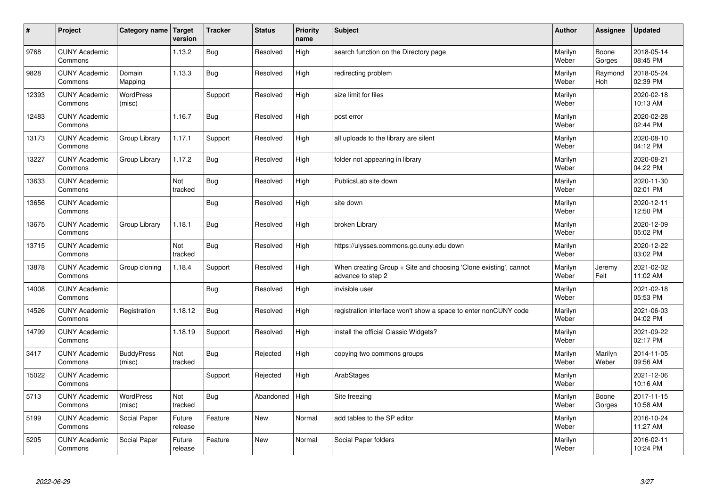| $\vert$ # | Project                         | Category name   Target      | version           | <b>Tracker</b> | <b>Status</b> | <b>Priority</b><br>name | <b>Subject</b>                                                                        | <b>Author</b>    | Assignee              | <b>Updated</b>         |
|-----------|---------------------------------|-----------------------------|-------------------|----------------|---------------|-------------------------|---------------------------------------------------------------------------------------|------------------|-----------------------|------------------------|
| 9768      | <b>CUNY Academic</b><br>Commons |                             | 1.13.2            | Bug            | Resolved      | High                    | search function on the Directory page                                                 | Marilyn<br>Weber | Boone<br>Gorges       | 2018-05-14<br>08:45 PM |
| 9828      | <b>CUNY Academic</b><br>Commons | Domain<br>Mapping           | 1.13.3            | Bug            | Resolved      | High                    | redirecting problem                                                                   | Marilyn<br>Weber | Raymond<br><b>Hoh</b> | 2018-05-24<br>02:39 PM |
| 12393     | <b>CUNY Academic</b><br>Commons | <b>WordPress</b><br>(misc)  |                   | Support        | Resolved      | High                    | size limit for files                                                                  | Marilyn<br>Weber |                       | 2020-02-18<br>10:13 AM |
| 12483     | <b>CUNY Academic</b><br>Commons |                             | 1.16.7            | <b>Bug</b>     | Resolved      | High                    | post error                                                                            | Marilyn<br>Weber |                       | 2020-02-28<br>02:44 PM |
| 13173     | <b>CUNY Academic</b><br>Commons | Group Library               | 1.17.1            | Support        | Resolved      | High                    | all uploads to the library are silent                                                 | Marilyn<br>Weber |                       | 2020-08-10<br>04:12 PM |
| 13227     | <b>CUNY Academic</b><br>Commons | Group Library               | 1.17.2            | Bug            | Resolved      | High                    | folder not appearing in library                                                       | Marilyn<br>Weber |                       | 2020-08-21<br>04:22 PM |
| 13633     | <b>CUNY Academic</b><br>Commons |                             | Not<br>tracked    | <b>Bug</b>     | Resolved      | High                    | PublicsLab site down                                                                  | Marilyn<br>Weber |                       | 2020-11-30<br>02:01 PM |
| 13656     | <b>CUNY Academic</b><br>Commons |                             |                   | <b>Bug</b>     | Resolved      | High                    | site down                                                                             | Marilyn<br>Weber |                       | 2020-12-11<br>12:50 PM |
| 13675     | <b>CUNY Academic</b><br>Commons | Group Library               | 1.18.1            | Bug            | Resolved      | High                    | broken Library                                                                        | Marilyn<br>Weber |                       | 2020-12-09<br>05:02 PM |
| 13715     | <b>CUNY Academic</b><br>Commons |                             | Not<br>tracked    | <b>Bug</b>     | Resolved      | High                    | https://ulysses.commons.gc.cuny.edu down                                              | Marilyn<br>Weber |                       | 2020-12-22<br>03:02 PM |
| 13878     | <b>CUNY Academic</b><br>Commons | Group cloning               | 1.18.4            | Support        | Resolved      | High                    | When creating Group + Site and choosing 'Clone existing', cannot<br>advance to step 2 | Marilyn<br>Weber | Jeremy<br>Felt        | 2021-02-02<br>11:02 AM |
| 14008     | <b>CUNY Academic</b><br>Commons |                             |                   | Bug            | Resolved      | High                    | invisible user                                                                        | Marilyn<br>Weber |                       | 2021-02-18<br>05:53 PM |
| 14526     | <b>CUNY Academic</b><br>Commons | Registration                | 1.18.12           | Bug            | Resolved      | High                    | registration interface won't show a space to enter nonCUNY code                       | Marilyn<br>Weber |                       | 2021-06-03<br>04:02 PM |
| 14799     | <b>CUNY Academic</b><br>Commons |                             | 1.18.19           | Support        | Resolved      | High                    | install the official Classic Widgets?                                                 | Marilyn<br>Weber |                       | 2021-09-22<br>02:17 PM |
| 3417      | <b>CUNY Academic</b><br>Commons | <b>BuddyPress</b><br>(misc) | Not<br>tracked    | <b>Bug</b>     | Rejected      | High                    | copying two commons groups                                                            | Marilyn<br>Weber | Marilyn<br>Weber      | 2014-11-05<br>09:56 AM |
| 15022     | <b>CUNY Academic</b><br>Commons |                             |                   | Support        | Rejected      | High                    | ArabStages                                                                            | Marilyn<br>Weber |                       | 2021-12-06<br>10:16 AM |
| 5713      | <b>CUNY Academic</b><br>Commons | WordPress<br>(misc)         | Not<br>tracked    | <b>Bug</b>     | Abandoned     | High                    | Site freezing                                                                         | Marilyn<br>Weber | Boone<br>Gorges       | 2017-11-15<br>10:58 AM |
| 5199      | <b>CUNY Academic</b><br>Commons | Social Paper                | Future<br>release | Feature        | <b>New</b>    | Normal                  | add tables to the SP editor                                                           | Marilyn<br>Weber |                       | 2016-10-24<br>11:27 AM |
| 5205      | <b>CUNY Academic</b><br>Commons | Social Paper                | Future<br>release | Feature        | <b>New</b>    | Normal                  | Social Paper folders                                                                  | Marilyn<br>Weber |                       | 2016-02-11<br>10:24 PM |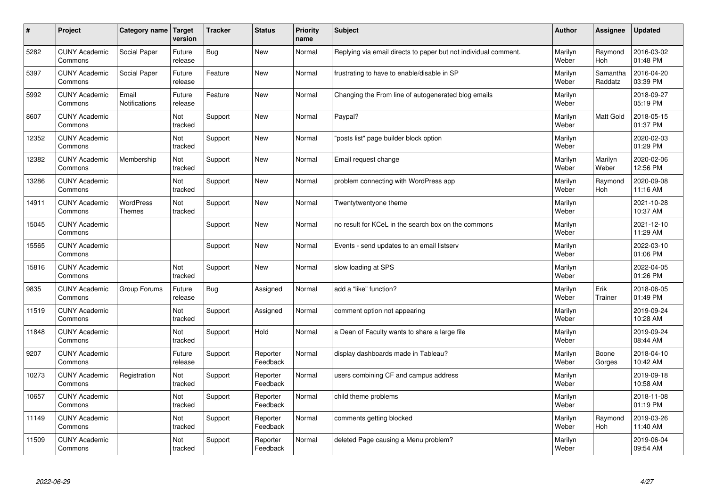| $\#$  | Project                         | Category name                 | Target<br>version | <b>Tracker</b> | <b>Status</b>        | <b>Priority</b><br>name | <b>Subject</b>                                                  | <b>Author</b>    | Assignee              | <b>Updated</b>         |
|-------|---------------------------------|-------------------------------|-------------------|----------------|----------------------|-------------------------|-----------------------------------------------------------------|------------------|-----------------------|------------------------|
| 5282  | <b>CUNY Academic</b><br>Commons | Social Paper                  | Future<br>release | <b>Bug</b>     | <b>New</b>           | Normal                  | Replying via email directs to paper but not individual comment. | Marilyn<br>Weber | Raymond<br><b>Hoh</b> | 2016-03-02<br>01:48 PM |
| 5397  | <b>CUNY Academic</b><br>Commons | Social Paper                  | Future<br>release | Feature        | <b>New</b>           | Normal                  | frustrating to have to enable/disable in SP                     | Marilyn<br>Weber | Samantha<br>Raddatz   | 2016-04-20<br>03:39 PM |
| 5992  | <b>CUNY Academic</b><br>Commons | Email<br><b>Notifications</b> | Future<br>release | Feature        | <b>New</b>           | Normal                  | Changing the From line of autogenerated blog emails             | Marilyn<br>Weber |                       | 2018-09-27<br>05:19 PM |
| 8607  | <b>CUNY Academic</b><br>Commons |                               | Not<br>tracked    | Support        | <b>New</b>           | Normal                  | Paypal?                                                         | Marilyn<br>Weber | <b>Matt Gold</b>      | 2018-05-15<br>01:37 PM |
| 12352 | <b>CUNY Academic</b><br>Commons |                               | Not<br>tracked    | Support        | <b>New</b>           | Normal                  | posts list" page builder block option                           | Marilyn<br>Weber |                       | 2020-02-03<br>01:29 PM |
| 12382 | <b>CUNY Academic</b><br>Commons | Membership                    | Not<br>tracked    | Support        | <b>New</b>           | Normal                  | Email request change                                            | Marilyn<br>Weber | Marilyn<br>Weber      | 2020-02-06<br>12:56 PM |
| 13286 | <b>CUNY Academic</b><br>Commons |                               | Not<br>tracked    | Support        | <b>New</b>           | Normal                  | problem connecting with WordPress app                           | Marilyn<br>Weber | Raymond<br>Hoh        | 2020-09-08<br>11:16 AM |
| 14911 | <b>CUNY Academic</b><br>Commons | WordPress<br><b>Themes</b>    | Not<br>tracked    | Support        | <b>New</b>           | Normal                  | Twentytwentyone theme                                           | Marilyn<br>Weber |                       | 2021-10-28<br>10:37 AM |
| 15045 | <b>CUNY Academic</b><br>Commons |                               |                   | Support        | New                  | Normal                  | no result for KCeL in the search box on the commons             | Marilyn<br>Weber |                       | 2021-12-10<br>11:29 AM |
| 15565 | <b>CUNY Academic</b><br>Commons |                               |                   | Support        | <b>New</b>           | Normal                  | Events - send updates to an email listserv                      | Marilyn<br>Weber |                       | 2022-03-10<br>01:06 PM |
| 15816 | <b>CUNY Academic</b><br>Commons |                               | Not<br>tracked    | Support        | <b>New</b>           | Normal                  | slow loading at SPS                                             | Marilyn<br>Weber |                       | 2022-04-05<br>01:26 PM |
| 9835  | <b>CUNY Academic</b><br>Commons | Group Forums                  | Future<br>release | <b>Bug</b>     | Assigned             | Normal                  | add a "like" function?                                          | Marilyn<br>Weber | Erik<br>Trainer       | 2018-06-05<br>01:49 PM |
| 11519 | <b>CUNY Academic</b><br>Commons |                               | Not<br>tracked    | Support        | Assigned             | Normal                  | comment option not appearing                                    | Marilyn<br>Weber |                       | 2019-09-24<br>10:28 AM |
| 11848 | <b>CUNY Academic</b><br>Commons |                               | Not<br>tracked    | Support        | Hold                 | Normal                  | a Dean of Faculty wants to share a large file                   | Marilyn<br>Weber |                       | 2019-09-24<br>08:44 AM |
| 9207  | <b>CUNY Academic</b><br>Commons |                               | Future<br>release | Support        | Reporter<br>Feedback | Normal                  | display dashboards made in Tableau?                             | Marilyn<br>Weber | Boone<br>Gorges       | 2018-04-10<br>10:42 AM |
| 10273 | <b>CUNY Academic</b><br>Commons | Registration                  | Not<br>tracked    | Support        | Reporter<br>Feedback | Normal                  | users combining CF and campus address                           | Marilyn<br>Weber |                       | 2019-09-18<br>10:58 AM |
| 10657 | <b>CUNY Academic</b><br>Commons |                               | Not<br>tracked    | Support        | Reporter<br>Feedback | Normal                  | child theme problems                                            | Marilyn<br>Weber |                       | 2018-11-08<br>01:19 PM |
| 11149 | <b>CUNY Academic</b><br>Commons |                               | Not<br>tracked    | Support        | Reporter<br>Feedback | Normal                  | comments getting blocked                                        | Marilyn<br>Weber | Raymond<br>Hoh        | 2019-03-26<br>11:40 AM |
| 11509 | <b>CUNY Academic</b><br>Commons |                               | Not<br>tracked    | Support        | Reporter<br>Feedback | Normal                  | deleted Page causing a Menu problem?                            | Marilyn<br>Weber |                       | 2019-06-04<br>09:54 AM |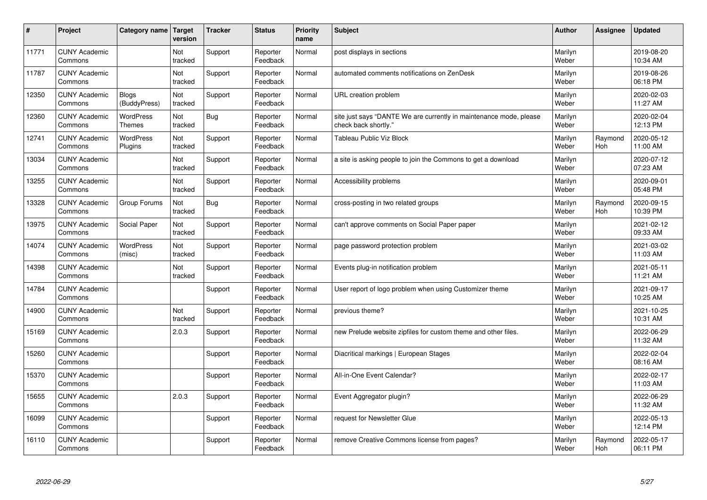| #     | Project                         | Category name                     | Target<br>version | <b>Tracker</b> | <b>Status</b>        | <b>Priority</b><br>name | <b>Subject</b>                                                                             | <b>Author</b>    | Assignee       | <b>Updated</b>         |
|-------|---------------------------------|-----------------------------------|-------------------|----------------|----------------------|-------------------------|--------------------------------------------------------------------------------------------|------------------|----------------|------------------------|
| 11771 | <b>CUNY Academic</b><br>Commons |                                   | Not<br>tracked    | Support        | Reporter<br>Feedback | Normal                  | post displays in sections                                                                  | Marilyn<br>Weber |                | 2019-08-20<br>10:34 AM |
| 11787 | <b>CUNY Academic</b><br>Commons |                                   | Not<br>tracked    | Support        | Reporter<br>Feedback | Normal                  | automated comments notifications on ZenDesk                                                | Marilyn<br>Weber |                | 2019-08-26<br>06:18 PM |
| 12350 | <b>CUNY Academic</b><br>Commons | <b>Blogs</b><br>(BuddyPress)      | Not<br>tracked    | Support        | Reporter<br>Feedback | Normal                  | URL creation problem                                                                       | Marilyn<br>Weber |                | 2020-02-03<br>11:27 AM |
| 12360 | <b>CUNY Academic</b><br>Commons | <b>WordPress</b><br><b>Themes</b> | Not<br>tracked    | <b>Bug</b>     | Reporter<br>Feedback | Normal                  | site just says "DANTE We are currently in maintenance mode, please<br>check back shortly." | Marilyn<br>Weber |                | 2020-02-04<br>12:13 PM |
| 12741 | <b>CUNY Academic</b><br>Commons | <b>WordPress</b><br>Plugins       | Not<br>tracked    | Support        | Reporter<br>Feedback | Normal                  | <b>Tableau Public Viz Block</b>                                                            | Marilyn<br>Weber | Raymond<br>Hoh | 2020-05-12<br>11:00 AM |
| 13034 | <b>CUNY Academic</b><br>Commons |                                   | Not<br>tracked    | Support        | Reporter<br>Feedback | Normal                  | a site is asking people to join the Commons to get a download                              | Marilyn<br>Weber |                | 2020-07-12<br>07:23 AM |
| 13255 | <b>CUNY Academic</b><br>Commons |                                   | Not<br>tracked    | Support        | Reporter<br>Feedback | Normal                  | Accessibility problems                                                                     | Marilyn<br>Weber |                | 2020-09-01<br>05:48 PM |
| 13328 | <b>CUNY Academic</b><br>Commons | Group Forums                      | Not<br>tracked    | <b>Bug</b>     | Reporter<br>Feedback | Normal                  | cross-posting in two related groups                                                        | Marilyn<br>Weber | Raymond<br>Hoh | 2020-09-15<br>10:39 PM |
| 13975 | <b>CUNY Academic</b><br>Commons | Social Paper                      | Not<br>tracked    | Support        | Reporter<br>Feedback | Normal                  | can't approve comments on Social Paper paper                                               | Marilyn<br>Weber |                | 2021-02-12<br>09:33 AM |
| 14074 | <b>CUNY Academic</b><br>Commons | <b>WordPress</b><br>(misc)        | Not<br>tracked    | Support        | Reporter<br>Feedback | Normal                  | page password protection problem                                                           | Marilyn<br>Weber |                | 2021-03-02<br>11:03 AM |
| 14398 | <b>CUNY Academic</b><br>Commons |                                   | Not<br>tracked    | Support        | Reporter<br>Feedback | Normal                  | Events plug-in notification problem                                                        | Marilyn<br>Weber |                | 2021-05-11<br>11:21 AM |
| 14784 | <b>CUNY Academic</b><br>Commons |                                   |                   | Support        | Reporter<br>Feedback | Normal                  | User report of logo problem when using Customizer theme                                    | Marilyn<br>Weber |                | 2021-09-17<br>10:25 AM |
| 14900 | <b>CUNY Academic</b><br>Commons |                                   | Not<br>tracked    | Support        | Reporter<br>Feedback | Normal                  | previous theme?                                                                            | Marilyn<br>Weber |                | 2021-10-25<br>10:31 AM |
| 15169 | <b>CUNY Academic</b><br>Commons |                                   | 2.0.3             | Support        | Reporter<br>Feedback | Normal                  | new Prelude website zipfiles for custom theme and other files.                             | Marilyn<br>Weber |                | 2022-06-29<br>11:32 AM |
| 15260 | <b>CUNY Academic</b><br>Commons |                                   |                   | Support        | Reporter<br>Feedback | Normal                  | Diacritical markings   European Stages                                                     | Marilyn<br>Weber |                | 2022-02-04<br>08:16 AM |
| 15370 | <b>CUNY Academic</b><br>Commons |                                   |                   | Support        | Reporter<br>Feedback | Normal                  | All-in-One Event Calendar?                                                                 | Marilyn<br>Weber |                | 2022-02-17<br>11:03 AM |
| 15655 | <b>CUNY Academic</b><br>Commons |                                   | 2.0.3             | Support        | Reporter<br>Feedback | Normal                  | Event Aggregator plugin?                                                                   | Marilyn<br>Weber |                | 2022-06-29<br>11:32 AM |
| 16099 | <b>CUNY Academic</b><br>Commons |                                   |                   | Support        | Reporter<br>Feedback | Normal                  | request for Newsletter Glue                                                                | Marilyn<br>Weber |                | 2022-05-13<br>12:14 PM |
| 16110 | <b>CUNY Academic</b><br>Commons |                                   |                   | Support        | Reporter<br>Feedback | Normal                  | remove Creative Commons license from pages?                                                | Marilyn<br>Weber | Raymond<br>Hoh | 2022-05-17<br>06:11 PM |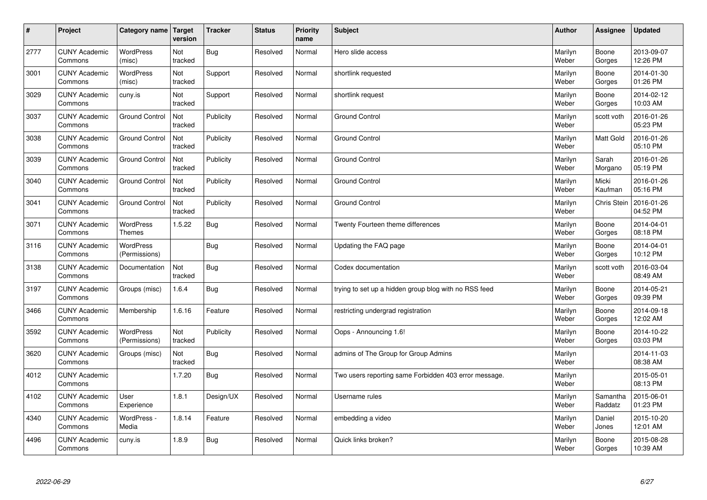| $\sharp$ | Project                         | Category name   Target            | version        | <b>Tracker</b> | <b>Status</b> | <b>Priority</b><br>name | <b>Subject</b>                                        | <b>Author</b>    | <b>Assignee</b>     | <b>Updated</b>         |
|----------|---------------------------------|-----------------------------------|----------------|----------------|---------------|-------------------------|-------------------------------------------------------|------------------|---------------------|------------------------|
| 2777     | <b>CUNY Academic</b><br>Commons | <b>WordPress</b><br>(misc)        | Not<br>tracked | Bug            | Resolved      | Normal                  | Hero slide access                                     | Marilyn<br>Weber | Boone<br>Gorges     | 2013-09-07<br>12:26 PM |
| 3001     | <b>CUNY Academic</b><br>Commons | WordPress<br>(misc)               | Not<br>tracked | Support        | Resolved      | Normal                  | shortlink requested                                   | Marilyn<br>Weber | Boone<br>Gorges     | 2014-01-30<br>01:26 PM |
| 3029     | <b>CUNY Academic</b><br>Commons | cuny.is                           | Not<br>tracked | Support        | Resolved      | Normal                  | shortlink request                                     | Marilyn<br>Weber | Boone<br>Gorges     | 2014-02-12<br>10:03 AM |
| 3037     | <b>CUNY Academic</b><br>Commons | <b>Ground Control</b>             | Not<br>tracked | Publicity      | Resolved      | Normal                  | <b>Ground Control</b>                                 | Marilyn<br>Weber | scott voth          | 2016-01-26<br>05:23 PM |
| 3038     | <b>CUNY Academic</b><br>Commons | <b>Ground Control</b>             | Not<br>tracked | Publicity      | Resolved      | Normal                  | <b>Ground Control</b>                                 | Marilyn<br>Weber | Matt Gold           | 2016-01-26<br>05:10 PM |
| 3039     | <b>CUNY Academic</b><br>Commons | <b>Ground Control</b>             | Not<br>tracked | Publicity      | Resolved      | Normal                  | <b>Ground Control</b>                                 | Marilyn<br>Weber | Sarah<br>Morgano    | 2016-01-26<br>05:19 PM |
| 3040     | <b>CUNY Academic</b><br>Commons | <b>Ground Control</b>             | Not<br>tracked | Publicity      | Resolved      | Normal                  | Ground Control                                        | Marilyn<br>Weber | Micki<br>Kaufman    | 2016-01-26<br>05:16 PM |
| 3041     | <b>CUNY Academic</b><br>Commons | <b>Ground Control</b>             | Not<br>tracked | Publicity      | Resolved      | Normal                  | Ground Control                                        | Marilyn<br>Weber | Chris Stein         | 2016-01-26<br>04:52 PM |
| 3071     | <b>CUNY Academic</b><br>Commons | <b>WordPress</b><br><b>Themes</b> | 1.5.22         | Bug            | Resolved      | Normal                  | Twenty Fourteen theme differences                     | Marilyn<br>Weber | Boone<br>Gorges     | 2014-04-01<br>08:18 PM |
| 3116     | <b>CUNY Academic</b><br>Commons | <b>WordPress</b><br>(Permissions) |                | Bug            | Resolved      | Normal                  | Updating the FAQ page                                 | Marilyn<br>Weber | Boone<br>Gorges     | 2014-04-01<br>10:12 PM |
| 3138     | <b>CUNY Academic</b><br>Commons | Documentation                     | Not<br>tracked | Bug            | Resolved      | Normal                  | Codex documentation                                   | Marilyn<br>Weber | scott voth          | 2016-03-04<br>08:49 AM |
| 3197     | <b>CUNY Academic</b><br>Commons | Groups (misc)                     | 1.6.4          | <b>Bug</b>     | Resolved      | Normal                  | trying to set up a hidden group blog with no RSS feed | Marilyn<br>Weber | Boone<br>Gorges     | 2014-05-21<br>09:39 PM |
| 3466     | <b>CUNY Academic</b><br>Commons | Membership                        | 1.6.16         | Feature        | Resolved      | Normal                  | restricting undergrad registration                    | Marilyn<br>Weber | Boone<br>Gorges     | 2014-09-18<br>12:02 AM |
| 3592     | <b>CUNY Academic</b><br>Commons | WordPress<br>(Permissions)        | Not<br>tracked | Publicity      | Resolved      | Normal                  | Oops - Announcing 1.6!                                | Marilyn<br>Weber | Boone<br>Gorges     | 2014-10-22<br>03:03 PM |
| 3620     | <b>CUNY Academic</b><br>Commons | Groups (misc)                     | Not<br>tracked | <b>Bug</b>     | Resolved      | Normal                  | admins of The Group for Group Admins                  | Marilyn<br>Weber |                     | 2014-11-03<br>08:38 AM |
| 4012     | <b>CUNY Academic</b><br>Commons |                                   | 1.7.20         | <b>Bug</b>     | Resolved      | Normal                  | Two users reporting same Forbidden 403 error message. | Marilyn<br>Weber |                     | 2015-05-01<br>08:13 PM |
| 4102     | <b>CUNY Academic</b><br>Commons | User<br>Experience                | 1.8.1          | Design/UX      | Resolved      | Normal                  | Username rules                                        | Marilyn<br>Weber | Samantha<br>Raddatz | 2015-06-01<br>01:23 PM |
| 4340     | <b>CUNY Academic</b><br>Commons | WordPress -<br>Media              | 1.8.14         | Feature        | Resolved      | Normal                  | embedding a video                                     | Marilyn<br>Weber | Daniel<br>Jones     | 2015-10-20<br>12:01 AM |
| 4496     | <b>CUNY Academic</b><br>Commons | cuny.is                           | 1.8.9          | Bug            | Resolved      | Normal                  | Quick links broken?                                   | Marilyn<br>Weber | Boone<br>Gorges     | 2015-08-28<br>10:39 AM |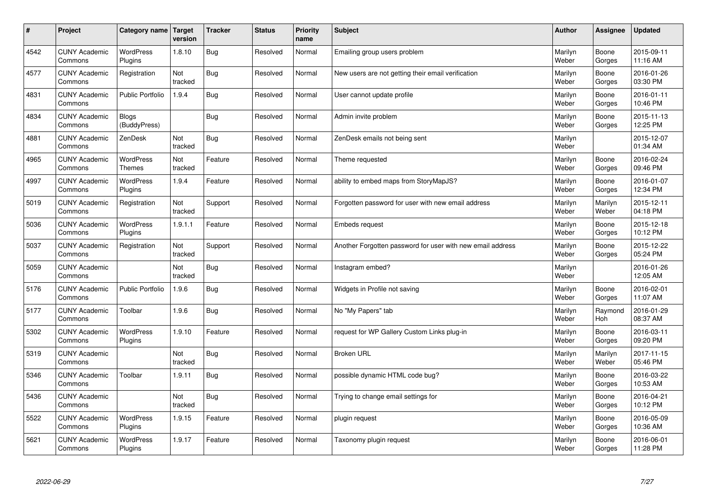| #    | Project                         | Category name                     | Target<br>version | <b>Tracker</b> | <b>Status</b> | <b>Priority</b><br>name | <b>Subject</b>                                             | <b>Author</b>    | <b>Assignee</b>  | <b>Updated</b>         |
|------|---------------------------------|-----------------------------------|-------------------|----------------|---------------|-------------------------|------------------------------------------------------------|------------------|------------------|------------------------|
| 4542 | <b>CUNY Academic</b><br>Commons | <b>WordPress</b><br>Plugins       | 1.8.10            | Bug            | Resolved      | Normal                  | Emailing group users problem                               | Marilyn<br>Weber | Boone<br>Gorges  | 2015-09-11<br>11:16 AM |
| 4577 | <b>CUNY Academic</b><br>Commons | Registration                      | Not<br>tracked    | <b>Bug</b>     | Resolved      | Normal                  | New users are not getting their email verification         | Marilyn<br>Weber | Boone<br>Gorges  | 2016-01-26<br>03:30 PM |
| 4831 | <b>CUNY Academic</b><br>Commons | <b>Public Portfolio</b>           | 1.9.4             | Bug            | Resolved      | Normal                  | User cannot update profile                                 | Marilyn<br>Weber | Boone<br>Gorges  | 2016-01-11<br>10:46 PM |
| 4834 | <b>CUNY Academic</b><br>Commons | <b>Blogs</b><br>(BuddyPress)      |                   | <b>Bug</b>     | Resolved      | Normal                  | Admin invite problem                                       | Marilyn<br>Weber | Boone<br>Gorges  | 2015-11-13<br>12:25 PM |
| 4881 | <b>CUNY Academic</b><br>Commons | ZenDesk                           | Not<br>tracked    | Bug            | Resolved      | Normal                  | ZenDesk emails not being sent                              | Marilyn<br>Weber |                  | 2015-12-07<br>01:34 AM |
| 4965 | <b>CUNY Academic</b><br>Commons | <b>WordPress</b><br><b>Themes</b> | Not<br>tracked    | Feature        | Resolved      | Normal                  | Theme requested                                            | Marilyn<br>Weber | Boone<br>Gorges  | 2016-02-24<br>09:46 PM |
| 4997 | <b>CUNY Academic</b><br>Commons | <b>WordPress</b><br>Plugins       | 1.9.4             | Feature        | Resolved      | Normal                  | ability to embed maps from StoryMapJS?                     | Marilyn<br>Weber | Boone<br>Gorges  | 2016-01-07<br>12:34 PM |
| 5019 | <b>CUNY Academic</b><br>Commons | Registration                      | Not<br>tracked    | Support        | Resolved      | Normal                  | Forgotten password for user with new email address         | Marilyn<br>Weber | Marilyn<br>Weber | 2015-12-11<br>04:18 PM |
| 5036 | <b>CUNY Academic</b><br>Commons | WordPress<br>Plugins              | 1.9.1.1           | Feature        | Resolved      | Normal                  | Embeds request                                             | Marilyn<br>Weber | Boone<br>Gorges  | 2015-12-18<br>10:12 PM |
| 5037 | <b>CUNY Academic</b><br>Commons | Registration                      | Not<br>tracked    | Support        | Resolved      | Normal                  | Another Forgotten password for user with new email address | Marilyn<br>Weber | Boone<br>Gorges  | 2015-12-22<br>05:24 PM |
| 5059 | <b>CUNY Academic</b><br>Commons |                                   | Not<br>tracked    | Bug            | Resolved      | Normal                  | Instagram embed?                                           | Marilyn<br>Weber |                  | 2016-01-26<br>12:05 AM |
| 5176 | <b>CUNY Academic</b><br>Commons | <b>Public Portfolio</b>           | 1.9.6             | <b>Bug</b>     | Resolved      | Normal                  | Widgets in Profile not saving                              | Marilyn<br>Weber | Boone<br>Gorges  | 2016-02-01<br>11:07 AM |
| 5177 | <b>CUNY Academic</b><br>Commons | Toolbar                           | 1.9.6             | <b>Bug</b>     | Resolved      | Normal                  | No "My Papers" tab                                         | Marilyn<br>Weber | Raymond<br>Hoh   | 2016-01-29<br>08:37 AM |
| 5302 | <b>CUNY Academic</b><br>Commons | WordPress<br>Plugins              | 1.9.10            | Feature        | Resolved      | Normal                  | request for WP Gallery Custom Links plug-in                | Marilyn<br>Weber | Boone<br>Gorges  | 2016-03-11<br>09:20 PM |
| 5319 | <b>CUNY Academic</b><br>Commons |                                   | Not<br>tracked    | Bug            | Resolved      | Normal                  | <b>Broken URL</b>                                          | Marilyn<br>Weber | Marilyn<br>Weber | 2017-11-15<br>05:46 PM |
| 5346 | <b>CUNY Academic</b><br>Commons | Toolbar                           | 1.9.11            | <b>Bug</b>     | Resolved      | Normal                  | possible dynamic HTML code bug?                            | Marilyn<br>Weber | Boone<br>Gorges  | 2016-03-22<br>10:53 AM |
| 5436 | <b>CUNY Academic</b><br>Commons |                                   | Not<br>tracked    | <b>Bug</b>     | Resolved      | Normal                  | Trying to change email settings for                        | Marilyn<br>Weber | Boone<br>Gorges  | 2016-04-21<br>10:12 PM |
| 5522 | <b>CUNY Academic</b><br>Commons | WordPress<br>Plugins              | 1.9.15            | Feature        | Resolved      | Normal                  | plugin request                                             | Marilyn<br>Weber | Boone<br>Gorges  | 2016-05-09<br>10:36 AM |
| 5621 | <b>CUNY Academic</b><br>Commons | <b>WordPress</b><br>Plugins       | 1.9.17            | Feature        | Resolved      | Normal                  | Taxonomy plugin request                                    | Marilyn<br>Weber | Boone<br>Gorges  | 2016-06-01<br>11:28 PM |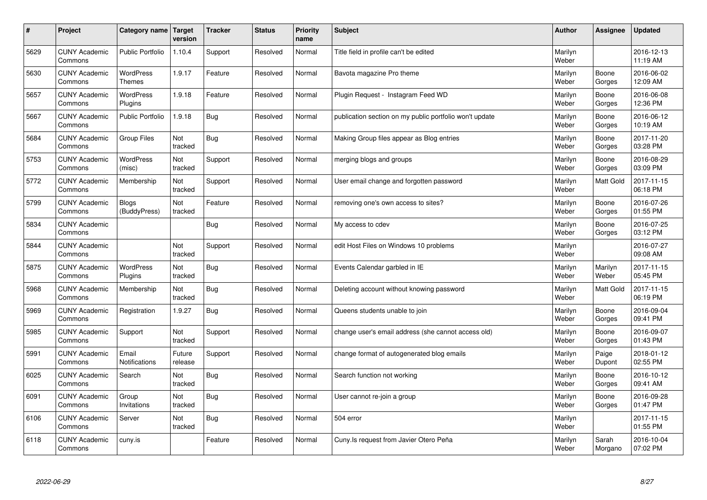| $\#$ | Project                         | Category name   Target       | version           | <b>Tracker</b> | <b>Status</b> | <b>Priority</b><br>name | <b>Subject</b>                                          | <b>Author</b>    | Assignee         | <b>Updated</b>         |
|------|---------------------------------|------------------------------|-------------------|----------------|---------------|-------------------------|---------------------------------------------------------|------------------|------------------|------------------------|
| 5629 | <b>CUNY Academic</b><br>Commons | <b>Public Portfolio</b>      | 1.10.4            | Support        | Resolved      | Normal                  | Title field in profile can't be edited                  | Marilyn<br>Weber |                  | 2016-12-13<br>11:19 AM |
| 5630 | <b>CUNY Academic</b><br>Commons | WordPress<br><b>Themes</b>   | 1.9.17            | Feature        | Resolved      | Normal                  | Bavota magazine Pro theme                               | Marilyn<br>Weber | Boone<br>Gorges  | 2016-06-02<br>12:09 AM |
| 5657 | <b>CUNY Academic</b><br>Commons | <b>WordPress</b><br>Plugins  | 1.9.18            | Feature        | Resolved      | Normal                  | Plugin Request - Instagram Feed WD                      | Marilyn<br>Weber | Boone<br>Gorges  | 2016-06-08<br>12:36 PM |
| 5667 | <b>CUNY Academic</b><br>Commons | <b>Public Portfolio</b>      | 1.9.18            | Bug            | Resolved      | Normal                  | publication section on my public portfolio won't update | Marilyn<br>Weber | Boone<br>Gorges  | 2016-06-12<br>10:19 AM |
| 5684 | <b>CUNY Academic</b><br>Commons | Group Files                  | Not<br>tracked    | <b>Bug</b>     | Resolved      | Normal                  | Making Group files appear as Blog entries               | Marilyn<br>Weber | Boone<br>Gorges  | 2017-11-20<br>03:28 PM |
| 5753 | <b>CUNY Academic</b><br>Commons | <b>WordPress</b><br>(misc)   | Not<br>tracked    | Support        | Resolved      | Normal                  | merging blogs and groups                                | Marilyn<br>Weber | Boone<br>Gorges  | 2016-08-29<br>03:09 PM |
| 5772 | <b>CUNY Academic</b><br>Commons | Membership                   | Not<br>tracked    | Support        | Resolved      | Normal                  | User email change and forgotten password                | Marilyn<br>Weber | Matt Gold        | 2017-11-15<br>06:18 PM |
| 5799 | <b>CUNY Academic</b><br>Commons | <b>Blogs</b><br>(BuddyPress) | Not<br>tracked    | Feature        | Resolved      | Normal                  | removing one's own access to sites?                     | Marilyn<br>Weber | Boone<br>Gorges  | 2016-07-26<br>01:55 PM |
| 5834 | <b>CUNY Academic</b><br>Commons |                              |                   | Bug            | Resolved      | Normal                  | My access to cdev                                       | Marilyn<br>Weber | Boone<br>Gorges  | 2016-07-25<br>03:12 PM |
| 5844 | <b>CUNY Academic</b><br>Commons |                              | Not<br>tracked    | Support        | Resolved      | Normal                  | edit Host Files on Windows 10 problems                  | Marilyn<br>Weber |                  | 2016-07-27<br>09:08 AM |
| 5875 | <b>CUNY Academic</b><br>Commons | <b>WordPress</b><br>Plugins  | Not<br>tracked    | Bug            | Resolved      | Normal                  | Events Calendar garbled in IE                           | Marilyn<br>Weber | Marilyn<br>Weber | 2017-11-15<br>05:45 PM |
| 5968 | <b>CUNY Academic</b><br>Commons | Membership                   | Not<br>tracked    | Bug            | Resolved      | Normal                  | Deleting account without knowing password               | Marilyn<br>Weber | Matt Gold        | 2017-11-15<br>06:19 PM |
| 5969 | <b>CUNY Academic</b><br>Commons | Registration                 | 1.9.27            | Bug            | Resolved      | Normal                  | Queens students unable to join                          | Marilyn<br>Weber | Boone<br>Gorges  | 2016-09-04<br>09:41 PM |
| 5985 | <b>CUNY Academic</b><br>Commons | Support                      | Not<br>tracked    | Support        | Resolved      | Normal                  | change user's email address (she cannot access old)     | Marilyn<br>Weber | Boone<br>Gorges  | 2016-09-07<br>01:43 PM |
| 5991 | <b>CUNY Academic</b><br>Commons | Email<br>Notifications       | Future<br>release | Support        | Resolved      | Normal                  | change format of autogenerated blog emails              | Marilyn<br>Weber | Paige<br>Dupont  | 2018-01-12<br>02:55 PM |
| 6025 | <b>CUNY Academic</b><br>Commons | Search                       | Not<br>tracked    | Bug            | Resolved      | Normal                  | Search function not working                             | Marilyn<br>Weber | Boone<br>Gorges  | 2016-10-12<br>09:41 AM |
| 6091 | <b>CUNY Academic</b><br>Commons | Group<br>Invitations         | Not<br>tracked    | Bug            | Resolved      | Normal                  | User cannot re-join a group                             | Marilyn<br>Weber | Boone<br>Gorges  | 2016-09-28<br>01:47 PM |
| 6106 | <b>CUNY Academic</b><br>Commons | Server                       | Not<br>tracked    | <b>Bug</b>     | Resolved      | Normal                  | 504 error                                               | Marilyn<br>Weber |                  | 2017-11-15<br>01:55 PM |
| 6118 | <b>CUNY Academic</b><br>Commons | cuny.is                      |                   | Feature        | Resolved      | Normal                  | Cuny. Is request from Javier Otero Peña                 | Marilyn<br>Weber | Sarah<br>Morgano | 2016-10-04<br>07:02 PM |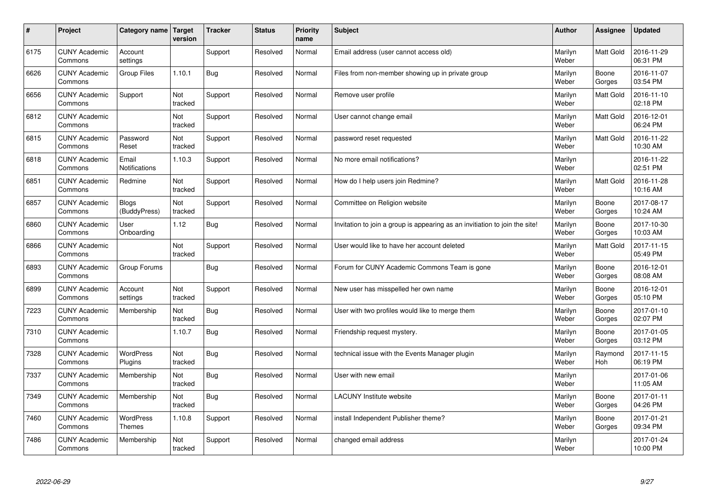| $\pmb{\#}$ | Project                         | Category name                | Target<br>version | <b>Tracker</b> | <b>Status</b> | <b>Priority</b><br>name | <b>Subject</b>                                                              | <b>Author</b>    | Assignee         | <b>Updated</b>         |
|------------|---------------------------------|------------------------------|-------------------|----------------|---------------|-------------------------|-----------------------------------------------------------------------------|------------------|------------------|------------------------|
| 6175       | <b>CUNY Academic</b><br>Commons | Account<br>settings          |                   | Support        | Resolved      | Normal                  | Email address (user cannot access old)                                      | Marilyn<br>Weber | <b>Matt Gold</b> | 2016-11-29<br>06:31 PM |
| 6626       | <b>CUNY Academic</b><br>Commons | Group Files                  | 1.10.1            | <b>Bug</b>     | Resolved      | Normal                  | Files from non-member showing up in private group                           | Marilyn<br>Weber | Boone<br>Gorges  | 2016-11-07<br>03:54 PM |
| 6656       | <b>CUNY Academic</b><br>Commons | Support                      | Not<br>tracked    | Support        | Resolved      | Normal                  | Remove user profile                                                         | Marilyn<br>Weber | Matt Gold        | 2016-11-10<br>02:18 PM |
| 6812       | <b>CUNY Academic</b><br>Commons |                              | Not<br>tracked    | Support        | Resolved      | Normal                  | User cannot change email                                                    | Marilyn<br>Weber | Matt Gold        | 2016-12-01<br>06:24 PM |
| 6815       | <b>CUNY Academic</b><br>Commons | Password<br>Reset            | Not<br>tracked    | Support        | Resolved      | Normal                  | password reset requested                                                    | Marilyn<br>Weber | Matt Gold        | 2016-11-22<br>10:30 AM |
| 6818       | <b>CUNY Academic</b><br>Commons | Email<br>Notifications       | 1.10.3            | Support        | Resolved      | Normal                  | No more email notifications?                                                | Marilyn<br>Weber |                  | 2016-11-22<br>02:51 PM |
| 6851       | <b>CUNY Academic</b><br>Commons | Redmine                      | Not<br>tracked    | Support        | Resolved      | Normal                  | How do I help users join Redmine?                                           | Marilyn<br>Weber | Matt Gold        | 2016-11-28<br>10:16 AM |
| 6857       | <b>CUNY Academic</b><br>Commons | <b>Blogs</b><br>(BuddyPress) | Not<br>tracked    | Support        | Resolved      | Normal                  | Committee on Religion website                                               | Marilyn<br>Weber | Boone<br>Gorges  | 2017-08-17<br>10:24 AM |
| 6860       | <b>CUNY Academic</b><br>Commons | User<br>Onboarding           | 1.12              | Bug            | Resolved      | Normal                  | Invitation to join a group is appearing as an invitiation to join the site! | Marilyn<br>Weber | Boone<br>Gorges  | 2017-10-30<br>10:03 AM |
| 6866       | <b>CUNY Academic</b><br>Commons |                              | Not<br>tracked    | Support        | Resolved      | Normal                  | User would like to have her account deleted                                 | Marilyn<br>Weber | Matt Gold        | 2017-11-15<br>05:49 PM |
| 6893       | <b>CUNY Academic</b><br>Commons | Group Forums                 |                   | <b>Bug</b>     | Resolved      | Normal                  | Forum for CUNY Academic Commons Team is gone                                | Marilyn<br>Weber | Boone<br>Gorges  | 2016-12-01<br>08:08 AM |
| 6899       | <b>CUNY Academic</b><br>Commons | Account<br>settings          | Not<br>tracked    | Support        | Resolved      | Normal                  | New user has misspelled her own name                                        | Marilyn<br>Weber | Boone<br>Gorges  | 2016-12-01<br>05:10 PM |
| 7223       | <b>CUNY Academic</b><br>Commons | Membership                   | Not<br>tracked    | <b>Bug</b>     | Resolved      | Normal                  | User with two profiles would like to merge them                             | Marilyn<br>Weber | Boone<br>Gorges  | 2017-01-10<br>02:07 PM |
| 7310       | <b>CUNY Academic</b><br>Commons |                              | 1.10.7            | <b>Bug</b>     | Resolved      | Normal                  | Friendship request mystery.                                                 | Marilyn<br>Weber | Boone<br>Gorges  | 2017-01-05<br>03:12 PM |
| 7328       | <b>CUNY Academic</b><br>Commons | <b>WordPress</b><br>Plugins  | Not<br>tracked    | Bug            | Resolved      | Normal                  | technical issue with the Events Manager plugin                              | Marilyn<br>Weber | Raymond<br>Hoh   | 2017-11-15<br>06:19 PM |
| 7337       | <b>CUNY Academic</b><br>Commons | Membership                   | Not<br>tracked    | <b>Bug</b>     | Resolved      | Normal                  | User with new email                                                         | Marilyn<br>Weber |                  | 2017-01-06<br>11:05 AM |
| 7349       | <b>CUNY Academic</b><br>Commons | Membership                   | Not<br>tracked    | <b>Bug</b>     | Resolved      | Normal                  | <b>LACUNY Institute website</b>                                             | Marilyn<br>Weber | Boone<br>Gorges  | 2017-01-11<br>04:26 PM |
| 7460       | <b>CUNY Academic</b><br>Commons | WordPress<br>Themes          | 1.10.8            | Support        | Resolved      | Normal                  | install Independent Publisher theme?                                        | Marilyn<br>Weber | Boone<br>Gorges  | 2017-01-21<br>09:34 PM |
| 7486       | <b>CUNY Academic</b><br>Commons | Membership                   | Not<br>tracked    | Support        | Resolved      | Normal                  | changed email address                                                       | Marilyn<br>Weber |                  | 2017-01-24<br>10:00 PM |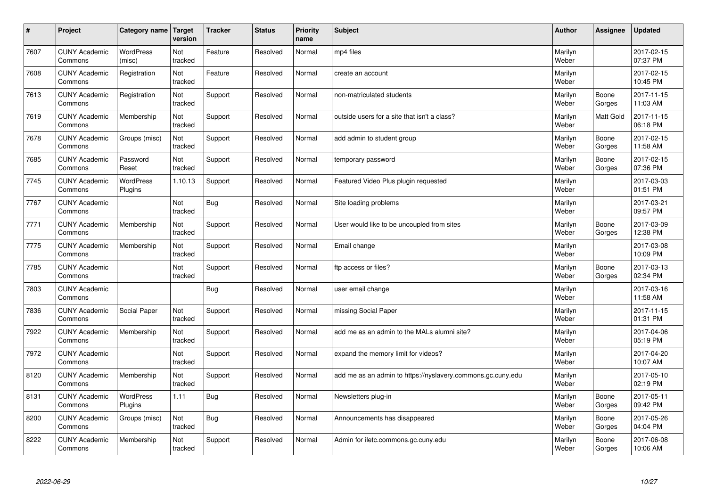| $\sharp$ | Project                         | Category name   Target     | version        | <b>Tracker</b> | <b>Status</b> | <b>Priority</b><br>name | <b>Subject</b>                                              | <b>Author</b>    | Assignee         | Updated                |
|----------|---------------------------------|----------------------------|----------------|----------------|---------------|-------------------------|-------------------------------------------------------------|------------------|------------------|------------------------|
| 7607     | <b>CUNY Academic</b><br>Commons | <b>WordPress</b><br>(misc) | Not<br>tracked | Feature        | Resolved      | Normal                  | mp4 files                                                   | Marilyn<br>Weber |                  | 2017-02-15<br>07:37 PM |
| 7608     | <b>CUNY Academic</b><br>Commons | Registration               | Not<br>tracked | Feature        | Resolved      | Normal                  | create an account                                           | Marilyn<br>Weber |                  | 2017-02-15<br>10:45 PM |
| 7613     | <b>CUNY Academic</b><br>Commons | Registration               | Not<br>tracked | Support        | Resolved      | Normal                  | non-matriculated students                                   | Marilyn<br>Weber | Boone<br>Gorges  | 2017-11-15<br>11:03 AM |
| 7619     | <b>CUNY Academic</b><br>Commons | Membership                 | Not<br>tracked | Support        | Resolved      | Normal                  | outside users for a site that isn't a class?                | Marilyn<br>Weber | <b>Matt Gold</b> | 2017-11-15<br>06:18 PM |
| 7678     | <b>CUNY Academic</b><br>Commons | Groups (misc)              | Not<br>tracked | Support        | Resolved      | Normal                  | add admin to student group                                  | Marilyn<br>Weber | Boone<br>Gorges  | 2017-02-15<br>11:58 AM |
| 7685     | <b>CUNY Academic</b><br>Commons | Password<br>Reset          | Not<br>tracked | Support        | Resolved      | Normal                  | temporary password                                          | Marilyn<br>Weber | Boone<br>Gorges  | 2017-02-15<br>07:36 PM |
| 7745     | <b>CUNY Academic</b><br>Commons | WordPress<br>Plugins       | 1.10.13        | Support        | Resolved      | Normal                  | Featured Video Plus plugin requested                        | Marilyn<br>Weber |                  | 2017-03-03<br>01:51 PM |
| 7767     | <b>CUNY Academic</b><br>Commons |                            | Not<br>tracked | Bug            | Resolved      | Normal                  | Site loading problems                                       | Marilyn<br>Weber |                  | 2017-03-21<br>09:57 PM |
| 7771     | <b>CUNY Academic</b><br>Commons | Membership                 | Not<br>tracked | Support        | Resolved      | Normal                  | User would like to be uncoupled from sites                  | Marilyn<br>Weber | Boone<br>Gorges  | 2017-03-09<br>12:38 PM |
| 7775     | <b>CUNY Academic</b><br>Commons | Membership                 | Not<br>tracked | Support        | Resolved      | Normal                  | Email change                                                | Marilyn<br>Weber |                  | 2017-03-08<br>10:09 PM |
| 7785     | <b>CUNY Academic</b><br>Commons |                            | Not<br>tracked | Support        | Resolved      | Normal                  | ftp access or files?                                        | Marilyn<br>Weber | Boone<br>Gorges  | 2017-03-13<br>02:34 PM |
| 7803     | <b>CUNY Academic</b><br>Commons |                            |                | Bug            | Resolved      | Normal                  | user email change                                           | Marilyn<br>Weber |                  | 2017-03-16<br>11:58 AM |
| 7836     | <b>CUNY Academic</b><br>Commons | Social Paper               | Not<br>tracked | Support        | Resolved      | Normal                  | missing Social Paper                                        | Marilyn<br>Weber |                  | 2017-11-15<br>01:31 PM |
| 7922     | <b>CUNY Academic</b><br>Commons | Membership                 | Not<br>tracked | Support        | Resolved      | Normal                  | add me as an admin to the MALs alumni site?                 | Marilyn<br>Weber |                  | 2017-04-06<br>05:19 PM |
| 7972     | <b>CUNY Academic</b><br>Commons |                            | Not<br>tracked | Support        | Resolved      | Normal                  | expand the memory limit for videos?                         | Marilyn<br>Weber |                  | 2017-04-20<br>10:07 AM |
| 8120     | <b>CUNY Academic</b><br>Commons | Membership                 | Not<br>tracked | Support        | Resolved      | Normal                  | add me as an admin to https://nyslavery.commons.gc.cuny.edu | Marilyn<br>Weber |                  | 2017-05-10<br>02:19 PM |
| 8131     | <b>CUNY Academic</b><br>Commons | WordPress<br>Plugins       | 1.11           | <b>Bug</b>     | Resolved      | Normal                  | Newsletters plug-in                                         | Marilyn<br>Weber | Boone<br>Gorges  | 2017-05-11<br>09:42 PM |
| 8200     | <b>CUNY Academic</b><br>Commons | Groups (misc)              | Not<br>tracked | Bug            | Resolved      | Normal                  | Announcements has disappeared                               | Marilyn<br>Weber | Boone<br>Gorges  | 2017-05-26<br>04:04 PM |
| 8222     | <b>CUNY Academic</b><br>Commons | Membership                 | Not<br>tracked | Support        | Resolved      | Normal                  | Admin for iletc.commons.gc.cuny.edu                         | Marilyn<br>Weber | Boone<br>Gorges  | 2017-06-08<br>10:06 AM |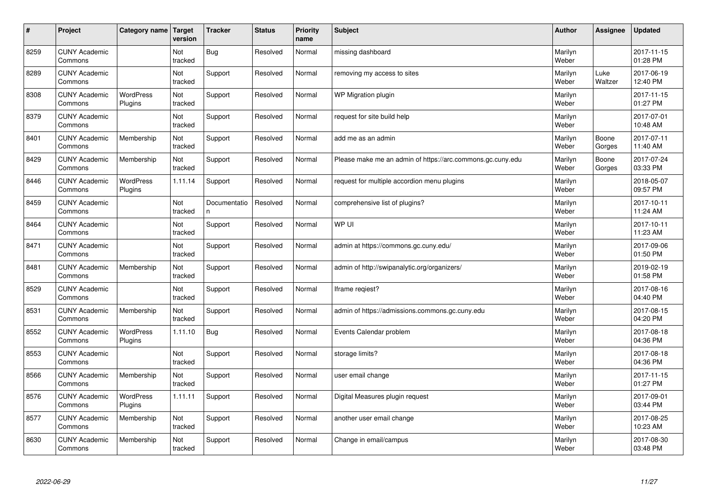| $\sharp$ | Project                         | Category name   Target      | version        | <b>Tracker</b>     | <b>Status</b> | <b>Priority</b><br>name | <b>Subject</b>                                             | <b>Author</b>    | Assignee        | <b>Updated</b>         |
|----------|---------------------------------|-----------------------------|----------------|--------------------|---------------|-------------------------|------------------------------------------------------------|------------------|-----------------|------------------------|
| 8259     | <b>CUNY Academic</b><br>Commons |                             | Not<br>tracked | Bug                | Resolved      | Normal                  | missing dashboard                                          | Marilyn<br>Weber |                 | 2017-11-15<br>01:28 PM |
| 8289     | <b>CUNY Academic</b><br>Commons |                             | Not<br>tracked | Support            | Resolved      | Normal                  | removing my access to sites                                | Marilyn<br>Weber | Luke<br>Waltzer | 2017-06-19<br>12:40 PM |
| 8308     | <b>CUNY Academic</b><br>Commons | <b>WordPress</b><br>Plugins | Not<br>tracked | Support            | Resolved      | Normal                  | WP Migration plugin                                        | Marilyn<br>Weber |                 | 2017-11-15<br>01:27 PM |
| 8379     | <b>CUNY Academic</b><br>Commons |                             | Not<br>tracked | Support            | Resolved      | Normal                  | request for site build help                                | Marilyn<br>Weber |                 | 2017-07-01<br>10:48 AM |
| 8401     | <b>CUNY Academic</b><br>Commons | Membership                  | Not<br>tracked | Support            | Resolved      | Normal                  | add me as an admin                                         | Marilyn<br>Weber | Boone<br>Gorges | 2017-07-11<br>11:40 AM |
| 8429     | <b>CUNY Academic</b><br>Commons | Membership                  | Not<br>tracked | Support            | Resolved      | Normal                  | Please make me an admin of https://arc.commons.gc.cuny.edu | Marilyn<br>Weber | Boone<br>Gorges | 2017-07-24<br>03:33 PM |
| 8446     | <b>CUNY Academic</b><br>Commons | <b>WordPress</b><br>Plugins | 1.11.14        | Support            | Resolved      | Normal                  | request for multiple accordion menu plugins                | Marilyn<br>Weber |                 | 2018-05-07<br>09:57 PM |
| 8459     | <b>CUNY Academic</b><br>Commons |                             | Not<br>tracked | Documentatio<br>n. | Resolved      | Normal                  | comprehensive list of plugins?                             | Marilyn<br>Weber |                 | 2017-10-11<br>11:24 AM |
| 8464     | <b>CUNY Academic</b><br>Commons |                             | Not<br>tracked | Support            | Resolved      | Normal                  | WP UI                                                      | Marilyn<br>Weber |                 | 2017-10-11<br>11:23 AM |
| 8471     | <b>CUNY Academic</b><br>Commons |                             | Not<br>tracked | Support            | Resolved      | Normal                  | admin at https://commons.gc.cuny.edu/                      | Marilyn<br>Weber |                 | 2017-09-06<br>01:50 PM |
| 8481     | <b>CUNY Academic</b><br>Commons | Membership                  | Not<br>tracked | Support            | Resolved      | Normal                  | admin of http://swipanalytic.org/organizers/               | Marilyn<br>Weber |                 | 2019-02-19<br>01:58 PM |
| 8529     | <b>CUNY Academic</b><br>Commons |                             | Not<br>tracked | Support            | Resolved      | Normal                  | Iframe regiest?                                            | Marilyn<br>Weber |                 | 2017-08-16<br>04:40 PM |
| 8531     | <b>CUNY Academic</b><br>Commons | Membership                  | Not<br>tracked | Support            | Resolved      | Normal                  | admin of https://admissions.commons.gc.cuny.edu            | Marilyn<br>Weber |                 | 2017-08-15<br>04:20 PM |
| 8552     | <b>CUNY Academic</b><br>Commons | WordPress<br>Plugins        | 1.11.10        | Bug                | Resolved      | Normal                  | Events Calendar problem                                    | Marilyn<br>Weber |                 | 2017-08-18<br>04:36 PM |
| 8553     | <b>CUNY Academic</b><br>Commons |                             | Not<br>tracked | Support            | Resolved      | Normal                  | storage limits?                                            | Marilyn<br>Weber |                 | 2017-08-18<br>04:36 PM |
| 8566     | <b>CUNY Academic</b><br>Commons | Membership                  | Not<br>tracked | Support            | Resolved      | Normal                  | user email change                                          | Marilyn<br>Weber |                 | 2017-11-15<br>01:27 PM |
| 8576     | <b>CUNY Academic</b><br>Commons | WordPress<br>Plugins        | 1.11.11        | Support            | Resolved      | Normal                  | Digital Measures plugin request                            | Marilyn<br>Weber |                 | 2017-09-01<br>03:44 PM |
| 8577     | <b>CUNY Academic</b><br>Commons | Membership                  | Not<br>tracked | Support            | Resolved      | Normal                  | another user email change                                  | Marilyn<br>Weber |                 | 2017-08-25<br>10:23 AM |
| 8630     | <b>CUNY Academic</b><br>Commons | Membership                  | Not<br>tracked | Support            | Resolved      | Normal                  | Change in email/campus                                     | Marilyn<br>Weber |                 | 2017-08-30<br>03:48 PM |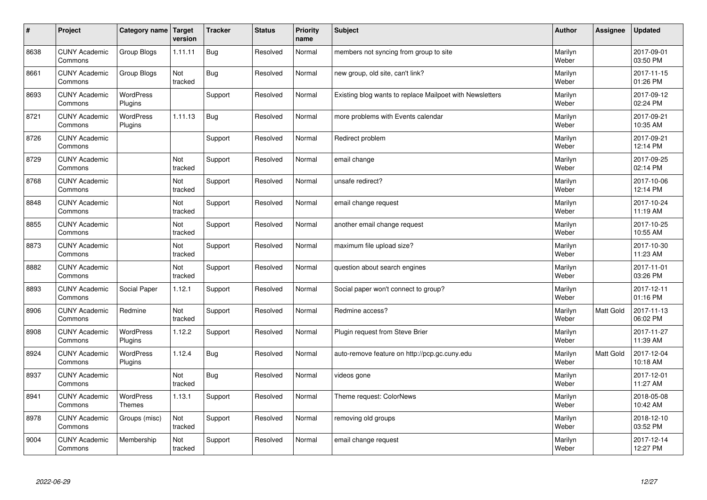| $\vert$ # | Project                         | Category name   Target      | version        | <b>Tracker</b> | <b>Status</b> | <b>Priority</b><br>name | <b>Subject</b>                                           | <b>Author</b>    | Assignee  | <b>Updated</b>         |
|-----------|---------------------------------|-----------------------------|----------------|----------------|---------------|-------------------------|----------------------------------------------------------|------------------|-----------|------------------------|
| 8638      | <b>CUNY Academic</b><br>Commons | <b>Group Blogs</b>          | 1.11.11        | Bug            | Resolved      | Normal                  | members not syncing from group to site                   | Marilyn<br>Weber |           | 2017-09-01<br>03:50 PM |
| 8661      | <b>CUNY Academic</b><br>Commons | Group Blogs                 | Not<br>tracked | Bug            | Resolved      | Normal                  | new group, old site, can't link?                         | Marilyn<br>Weber |           | 2017-11-15<br>01:26 PM |
| 8693      | <b>CUNY Academic</b><br>Commons | <b>WordPress</b><br>Plugins |                | Support        | Resolved      | Normal                  | Existing blog wants to replace Mailpoet with Newsletters | Marilyn<br>Weber |           | 2017-09-12<br>02:24 PM |
| 8721      | <b>CUNY Academic</b><br>Commons | <b>WordPress</b><br>Plugins | 1.11.13        | Bug            | Resolved      | Normal                  | more problems with Events calendar                       | Marilyn<br>Weber |           | 2017-09-21<br>10:35 AM |
| 8726      | <b>CUNY Academic</b><br>Commons |                             |                | Support        | Resolved      | Normal                  | Redirect problem                                         | Marilyn<br>Weber |           | 2017-09-21<br>12:14 PM |
| 8729      | <b>CUNY Academic</b><br>Commons |                             | Not<br>tracked | Support        | Resolved      | Normal                  | email change                                             | Marilyn<br>Weber |           | 2017-09-25<br>02:14 PM |
| 8768      | <b>CUNY Academic</b><br>Commons |                             | Not<br>tracked | Support        | Resolved      | Normal                  | unsafe redirect?                                         | Marilyn<br>Weber |           | 2017-10-06<br>12:14 PM |
| 8848      | <b>CUNY Academic</b><br>Commons |                             | Not<br>tracked | Support        | Resolved      | Normal                  | email change request                                     | Marilyn<br>Weber |           | 2017-10-24<br>11:19 AM |
| 8855      | <b>CUNY Academic</b><br>Commons |                             | Not<br>tracked | Support        | Resolved      | Normal                  | another email change request                             | Marilyn<br>Weber |           | 2017-10-25<br>10:55 AM |
| 8873      | <b>CUNY Academic</b><br>Commons |                             | Not<br>tracked | Support        | Resolved      | Normal                  | maximum file upload size?                                | Marilyn<br>Weber |           | 2017-10-30<br>11:23 AM |
| 8882      | <b>CUNY Academic</b><br>Commons |                             | Not<br>tracked | Support        | Resolved      | Normal                  | question about search engines                            | Marilyn<br>Weber |           | 2017-11-01<br>03:26 PM |
| 8893      | <b>CUNY Academic</b><br>Commons | Social Paper                | 1.12.1         | Support        | Resolved      | Normal                  | Social paper won't connect to group?                     | Marilyn<br>Weber |           | 2017-12-11<br>01:16 PM |
| 8906      | <b>CUNY Academic</b><br>Commons | Redmine                     | Not<br>tracked | Support        | Resolved      | Normal                  | Redmine access?                                          | Marilyn<br>Weber | Matt Gold | 2017-11-13<br>06:02 PM |
| 8908      | <b>CUNY Academic</b><br>Commons | WordPress<br>Plugins        | 1.12.2         | Support        | Resolved      | Normal                  | Plugin request from Steve Brier                          | Marilyn<br>Weber |           | 2017-11-27<br>11:39 AM |
| 8924      | <b>CUNY Academic</b><br>Commons | <b>WordPress</b><br>Plugins | 1.12.4         | <b>Bug</b>     | Resolved      | Normal                  | auto-remove feature on http://pcp.gc.cuny.edu            | Marilyn<br>Weber | Matt Gold | 2017-12-04<br>10:18 AM |
| 8937      | <b>CUNY Academic</b><br>Commons |                             | Not<br>tracked | <b>Bug</b>     | Resolved      | Normal                  | videos gone                                              | Marilyn<br>Weber |           | 2017-12-01<br>11:27 AM |
| 8941      | <b>CUNY Academic</b><br>Commons | WordPress<br><b>Themes</b>  | 1.13.1         | Support        | Resolved      | Normal                  | Theme request: ColorNews                                 | Marilyn<br>Weber |           | 2018-05-08<br>10:42 AM |
| 8978      | <b>CUNY Academic</b><br>Commons | Groups (misc)               | Not<br>tracked | Support        | Resolved      | Normal                  | removing old groups                                      | Marilyn<br>Weber |           | 2018-12-10<br>03:52 PM |
| 9004      | <b>CUNY Academic</b><br>Commons | Membership                  | Not<br>tracked | Support        | Resolved      | Normal                  | email change request                                     | Marilyn<br>Weber |           | 2017-12-14<br>12:27 PM |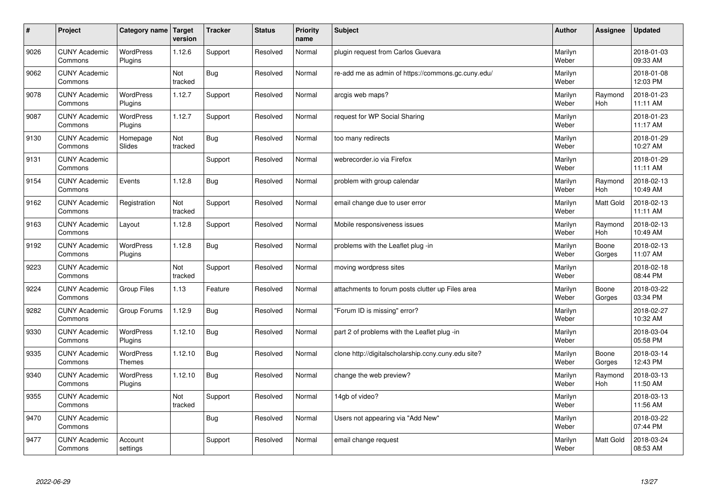| $\sharp$ | Project                         | Category name   Target      | version        | <b>Tracker</b> | <b>Status</b> | <b>Priority</b><br>name | <b>Subject</b>                                      | <b>Author</b>    | Assignee         | <b>Updated</b>         |
|----------|---------------------------------|-----------------------------|----------------|----------------|---------------|-------------------------|-----------------------------------------------------|------------------|------------------|------------------------|
| 9026     | <b>CUNY Academic</b><br>Commons | <b>WordPress</b><br>Plugins | 1.12.6         | Support        | Resolved      | Normal                  | plugin request from Carlos Guevara                  | Marilyn<br>Weber |                  | 2018-01-03<br>09:33 AM |
| 9062     | <b>CUNY Academic</b><br>Commons |                             | Not<br>tracked | Bug            | Resolved      | Normal                  | re-add me as admin of https://commons.gc.cuny.edu/  | Marilyn<br>Weber |                  | 2018-01-08<br>12:03 PM |
| 9078     | <b>CUNY Academic</b><br>Commons | <b>WordPress</b><br>Plugins | 1.12.7         | Support        | Resolved      | Normal                  | arcgis web maps?                                    | Marilyn<br>Weber | Raymond<br>Hoh   | 2018-01-23<br>11:11 AM |
| 9087     | <b>CUNY Academic</b><br>Commons | <b>WordPress</b><br>Plugins | 1.12.7         | Support        | Resolved      | Normal                  | request for WP Social Sharing                       | Marilyn<br>Weber |                  | 2018-01-23<br>11:17 AM |
| 9130     | <b>CUNY Academic</b><br>Commons | Homepage<br>Slides          | Not<br>tracked | <b>Bug</b>     | Resolved      | Normal                  | too many redirects                                  | Marilyn<br>Weber |                  | 2018-01-29<br>10:27 AM |
| 9131     | <b>CUNY Academic</b><br>Commons |                             |                | Support        | Resolved      | Normal                  | webrecorder.io via Firefox                          | Marilyn<br>Weber |                  | 2018-01-29<br>11:11 AM |
| 9154     | <b>CUNY Academic</b><br>Commons | Events                      | 1.12.8         | Bug            | Resolved      | Normal                  | problem with group calendar                         | Marilyn<br>Weber | Raymond<br>Hoh   | 2018-02-13<br>10:49 AM |
| 9162     | <b>CUNY Academic</b><br>Commons | Registration                | Not<br>tracked | Support        | Resolved      | Normal                  | email change due to user error                      | Marilyn<br>Weber | Matt Gold        | 2018-02-13<br>11:11 AM |
| 9163     | <b>CUNY Academic</b><br>Commons | Layout                      | 1.12.8         | Support        | Resolved      | Normal                  | Mobile responsiveness issues                        | Marilyn<br>Weber | Raymond<br>Hoh   | 2018-02-13<br>10:49 AM |
| 9192     | <b>CUNY Academic</b><br>Commons | <b>WordPress</b><br>Plugins | 1.12.8         | Bug            | Resolved      | Normal                  | problems with the Leaflet plug -in                  | Marilyn<br>Weber | Boone<br>Gorges  | 2018-02-13<br>11:07 AM |
| 9223     | <b>CUNY Academic</b><br>Commons |                             | Not<br>tracked | Support        | Resolved      | Normal                  | moving wordpress sites                              | Marilyn<br>Weber |                  | 2018-02-18<br>08:44 PM |
| 9224     | <b>CUNY Academic</b><br>Commons | Group Files                 | 1.13           | Feature        | Resolved      | Normal                  | attachments to forum posts clutter up Files area    | Marilyn<br>Weber | Boone<br>Gorges  | 2018-03-22<br>03:34 PM |
| 9282     | <b>CUNY Academic</b><br>Commons | Group Forums                | 1.12.9         | Bug            | Resolved      | Normal                  | 'Forum ID is missing" error?                        | Marilyn<br>Weber |                  | 2018-02-27<br>10:32 AM |
| 9330     | <b>CUNY Academic</b><br>Commons | WordPress<br>Plugins        | 1.12.10        | Bug            | Resolved      | Normal                  | part 2 of problems with the Leaflet plug -in        | Marilyn<br>Weber |                  | 2018-03-04<br>05:58 PM |
| 9335     | <b>CUNY Academic</b><br>Commons | WordPress<br><b>Themes</b>  | 1.12.10        | <b>Bug</b>     | Resolved      | Normal                  | clone http://digitalscholarship.ccny.cuny.edu site? | Marilyn<br>Weber | Boone<br>Gorges  | 2018-03-14<br>12:43 PM |
| 9340     | <b>CUNY Academic</b><br>Commons | <b>WordPress</b><br>Plugins | 1.12.10        | Bug            | Resolved      | Normal                  | change the web preview?                             | Marilyn<br>Weber | Raymond<br>Hoh   | 2018-03-13<br>11:50 AM |
| 9355     | <b>CUNY Academic</b><br>Commons |                             | Not<br>tracked | Support        | Resolved      | Normal                  | 14gb of video?                                      | Marilyn<br>Weber |                  | 2018-03-13<br>11:56 AM |
| 9470     | <b>CUNY Academic</b><br>Commons |                             |                | <b>Bug</b>     | Resolved      | Normal                  | Users not appearing via "Add New"                   | Marilyn<br>Weber |                  | 2018-03-22<br>07:44 PM |
| 9477     | <b>CUNY Academic</b><br>Commons | Account<br>settings         |                | Support        | Resolved      | Normal                  | email change request                                | Marilyn<br>Weber | <b>Matt Gold</b> | 2018-03-24<br>08:53 AM |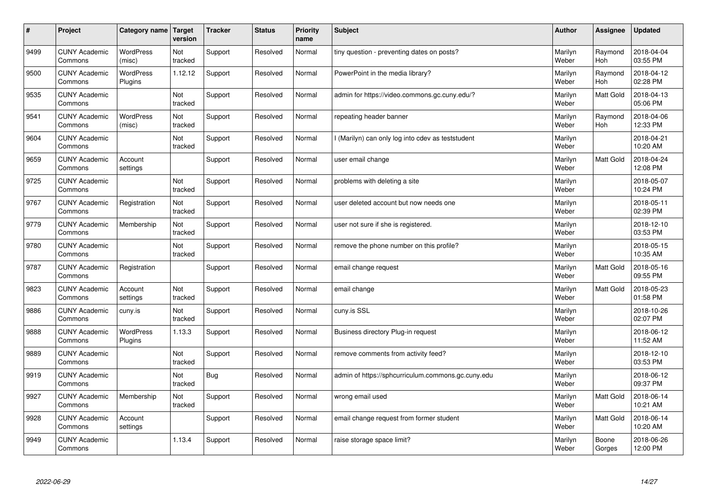| #    | Project                         | Category name   Target      | version        | <b>Tracker</b> | <b>Status</b> | <b>Priority</b><br>name | <b>Subject</b>                                     | <b>Author</b>    | <b>Assignee</b>       | <b>Updated</b>         |
|------|---------------------------------|-----------------------------|----------------|----------------|---------------|-------------------------|----------------------------------------------------|------------------|-----------------------|------------------------|
| 9499 | <b>CUNY Academic</b><br>Commons | <b>WordPress</b><br>(misc)  | Not<br>tracked | Support        | Resolved      | Normal                  | tiny question - preventing dates on posts?         | Marilyn<br>Weber | Raymond<br><b>Hoh</b> | 2018-04-04<br>03:55 PM |
| 9500 | <b>CUNY Academic</b><br>Commons | <b>WordPress</b><br>Plugins | 1.12.12        | Support        | Resolved      | Normal                  | PowerPoint in the media library?                   | Marilyn<br>Weber | Raymond<br>Hoh        | 2018-04-12<br>02:28 PM |
| 9535 | <b>CUNY Academic</b><br>Commons |                             | Not<br>tracked | Support        | Resolved      | Normal                  | admin for https://video.commons.gc.cuny.edu/?      | Marilyn<br>Weber | <b>Matt Gold</b>      | 2018-04-13<br>05:06 PM |
| 9541 | <b>CUNY Academic</b><br>Commons | WordPress<br>(misc)         | Not<br>tracked | Support        | Resolved      | Normal                  | repeating header banner                            | Marilyn<br>Weber | Raymond<br>Hoh        | 2018-04-06<br>12:33 PM |
| 9604 | <b>CUNY Academic</b><br>Commons |                             | Not<br>tracked | Support        | Resolved      | Normal                  | I (Marilyn) can only log into cdev as teststudent  | Marilyn<br>Weber |                       | 2018-04-21<br>10:20 AM |
| 9659 | <b>CUNY Academic</b><br>Commons | Account<br>settings         |                | Support        | Resolved      | Normal                  | user email change                                  | Marilyn<br>Weber | Matt Gold             | 2018-04-24<br>12:08 PM |
| 9725 | <b>CUNY Academic</b><br>Commons |                             | Not<br>tracked | Support        | Resolved      | Normal                  | problems with deleting a site                      | Marilyn<br>Weber |                       | 2018-05-07<br>10:24 PM |
| 9767 | <b>CUNY Academic</b><br>Commons | Registration                | Not<br>tracked | Support        | Resolved      | Normal                  | user deleted account but now needs one             | Marilyn<br>Weber |                       | 2018-05-11<br>02:39 PM |
| 9779 | <b>CUNY Academic</b><br>Commons | Membership                  | Not<br>tracked | Support        | Resolved      | Normal                  | user not sure if she is registered.                | Marilyn<br>Weber |                       | 2018-12-10<br>03:53 PM |
| 9780 | <b>CUNY Academic</b><br>Commons |                             | Not<br>tracked | Support        | Resolved      | Normal                  | remove the phone number on this profile?           | Marilyn<br>Weber |                       | 2018-05-15<br>10:35 AM |
| 9787 | <b>CUNY Academic</b><br>Commons | Registration                |                | Support        | Resolved      | Normal                  | email change request                               | Marilyn<br>Weber | <b>Matt Gold</b>      | 2018-05-16<br>09:55 PM |
| 9823 | <b>CUNY Academic</b><br>Commons | Account<br>settings         | Not<br>tracked | Support        | Resolved      | Normal                  | email change                                       | Marilyn<br>Weber | <b>Matt Gold</b>      | 2018-05-23<br>01:58 PM |
| 9886 | <b>CUNY Academic</b><br>Commons | cuny.is                     | Not<br>tracked | Support        | Resolved      | Normal                  | cuny.is SSL                                        | Marilyn<br>Weber |                       | 2018-10-26<br>02:07 PM |
| 9888 | <b>CUNY Academic</b><br>Commons | WordPress<br>Plugins        | 1.13.3         | Support        | Resolved      | Normal                  | Business directory Plug-in request                 | Marilyn<br>Weber |                       | 2018-06-12<br>11:52 AM |
| 9889 | <b>CUNY Academic</b><br>Commons |                             | Not<br>tracked | Support        | Resolved      | Normal                  | remove comments from activity feed?                | Marilyn<br>Weber |                       | 2018-12-10<br>03:53 PM |
| 9919 | <b>CUNY Academic</b><br>Commons |                             | Not<br>tracked | Bug            | Resolved      | Normal                  | admin of https://sphcurriculum.commons.gc.cuny.edu | Marilyn<br>Weber |                       | 2018-06-12<br>09:37 PM |
| 9927 | <b>CUNY Academic</b><br>Commons | Membership                  | Not<br>tracked | Support        | Resolved      | Normal                  | wrong email used                                   | Marilyn<br>Weber | Matt Gold             | 2018-06-14<br>10:21 AM |
| 9928 | <b>CUNY Academic</b><br>Commons | Account<br>settings         |                | Support        | Resolved      | Normal                  | email change request from former student           | Marilyn<br>Weber | Matt Gold             | 2018-06-14<br>10:20 AM |
| 9949 | <b>CUNY Academic</b><br>Commons |                             | 1.13.4         | Support        | Resolved      | Normal                  | raise storage space limit?                         | Marilyn<br>Weber | Boone<br>Gorges       | 2018-06-26<br>12:00 PM |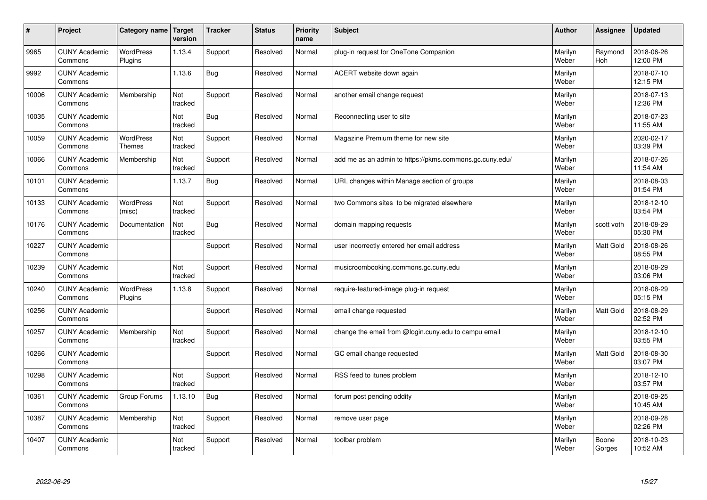| #     | Project                         | Category name                     | Target<br>version | <b>Tracker</b> | <b>Status</b> | <b>Priority</b><br>name | <b>Subject</b>                                          | <b>Author</b>    | Assignee              | <b>Updated</b>         |
|-------|---------------------------------|-----------------------------------|-------------------|----------------|---------------|-------------------------|---------------------------------------------------------|------------------|-----------------------|------------------------|
| 9965  | <b>CUNY Academic</b><br>Commons | <b>WordPress</b><br>Plugins       | 1.13.4            | Support        | Resolved      | Normal                  | plug-in request for OneTone Companion                   | Marilyn<br>Weber | Raymond<br><b>Hoh</b> | 2018-06-26<br>12:00 PM |
| 9992  | <b>CUNY Academic</b><br>Commons |                                   | 1.13.6            | Bug            | Resolved      | Normal                  | ACERT website down again                                | Marilyn<br>Weber |                       | 2018-07-10<br>12:15 PM |
| 10006 | <b>CUNY Academic</b><br>Commons | Membership                        | Not<br>tracked    | Support        | Resolved      | Normal                  | another email change request                            | Marilyn<br>Weber |                       | 2018-07-13<br>12:36 PM |
| 10035 | <b>CUNY Academic</b><br>Commons |                                   | Not<br>tracked    | Bug            | Resolved      | Normal                  | Reconnecting user to site                               | Marilyn<br>Weber |                       | 2018-07-23<br>11:55 AM |
| 10059 | <b>CUNY Academic</b><br>Commons | <b>WordPress</b><br><b>Themes</b> | Not<br>tracked    | Support        | Resolved      | Normal                  | Magazine Premium theme for new site                     | Marilyn<br>Weber |                       | 2020-02-17<br>03:39 PM |
| 10066 | <b>CUNY Academic</b><br>Commons | Membership                        | Not<br>tracked    | Support        | Resolved      | Normal                  | add me as an admin to https://pkms.commons.gc.cuny.edu/ | Marilyn<br>Weber |                       | 2018-07-26<br>11:54 AM |
| 10101 | <b>CUNY Academic</b><br>Commons |                                   | 1.13.7            | <b>Bug</b>     | Resolved      | Normal                  | URL changes within Manage section of groups             | Marilyn<br>Weber |                       | 2018-08-03<br>01:54 PM |
| 10133 | <b>CUNY Academic</b><br>Commons | <b>WordPress</b><br>(misc)        | Not<br>tracked    | Support        | Resolved      | Normal                  | two Commons sites to be migrated elsewhere              | Marilyn<br>Weber |                       | 2018-12-10<br>03:54 PM |
| 10176 | <b>CUNY Academic</b><br>Commons | Documentation                     | Not<br>tracked    | <b>Bug</b>     | Resolved      | Normal                  | domain mapping requests                                 | Marilyn<br>Weber | scott voth            | 2018-08-29<br>05:30 PM |
| 10227 | <b>CUNY Academic</b><br>Commons |                                   |                   | Support        | Resolved      | Normal                  | user incorrectly entered her email address              | Marilyn<br>Weber | <b>Matt Gold</b>      | 2018-08-26<br>08:55 PM |
| 10239 | <b>CUNY Academic</b><br>Commons |                                   | Not<br>tracked    | Support        | Resolved      | Normal                  | musicroombooking.commons.gc.cuny.edu                    | Marilyn<br>Weber |                       | 2018-08-29<br>03:06 PM |
| 10240 | <b>CUNY Academic</b><br>Commons | WordPress<br>Plugins              | 1.13.8            | Support        | Resolved      | Normal                  | require-featured-image plug-in request                  | Marilyn<br>Weber |                       | 2018-08-29<br>05:15 PM |
| 10256 | <b>CUNY Academic</b><br>Commons |                                   |                   | Support        | Resolved      | Normal                  | email change requested                                  | Marilyn<br>Weber | Matt Gold             | 2018-08-29<br>02:52 PM |
| 10257 | <b>CUNY Academic</b><br>Commons | Membership                        | Not<br>tracked    | Support        | Resolved      | Normal                  | change the email from @login.cuny.edu to campu email    | Marilyn<br>Weber |                       | 2018-12-10<br>03:55 PM |
| 10266 | <b>CUNY Academic</b><br>Commons |                                   |                   | Support        | Resolved      | Normal                  | GC email change requested                               | Marilyn<br>Weber | <b>Matt Gold</b>      | 2018-08-30<br>03:07 PM |
| 10298 | <b>CUNY Academic</b><br>Commons |                                   | Not<br>tracked    | Support        | Resolved      | Normal                  | RSS feed to itunes problem                              | Marilyn<br>Weber |                       | 2018-12-10<br>03:57 PM |
| 10361 | <b>CUNY Academic</b><br>Commons | Group Forums                      | 1.13.10           | <b>Bug</b>     | Resolved      | Normal                  | forum post pending oddity                               | Marilyn<br>Weber |                       | 2018-09-25<br>10:45 AM |
| 10387 | <b>CUNY Academic</b><br>Commons | Membership                        | Not<br>tracked    | Support        | Resolved      | Normal                  | remove user page                                        | Marilyn<br>Weber |                       | 2018-09-28<br>02:26 PM |
| 10407 | <b>CUNY Academic</b><br>Commons |                                   | Not<br>tracked    | Support        | Resolved      | Normal                  | toolbar problem                                         | Marilyn<br>Weber | Boone<br>Gorges       | 2018-10-23<br>10:52 AM |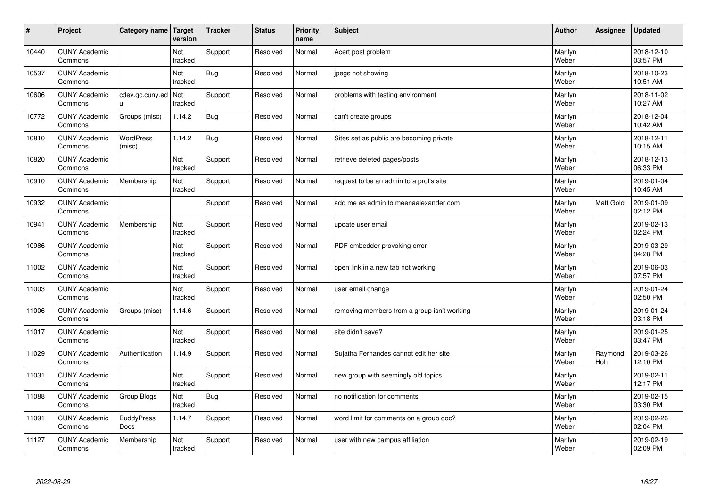| #     | Project                         | Category name   Target    | version        | <b>Tracker</b> | <b>Status</b> | <b>Priority</b><br>name | <b>Subject</b>                              | <b>Author</b>    | Assignee       | <b>Updated</b>         |
|-------|---------------------------------|---------------------------|----------------|----------------|---------------|-------------------------|---------------------------------------------|------------------|----------------|------------------------|
| 10440 | <b>CUNY Academic</b><br>Commons |                           | Not<br>tracked | Support        | Resolved      | Normal                  | Acert post problem                          | Marilyn<br>Weber |                | 2018-12-10<br>03:57 PM |
| 10537 | <b>CUNY Academic</b><br>Commons |                           | Not<br>tracked | <b>Bug</b>     | Resolved      | Normal                  | jpegs not showing                           | Marilyn<br>Weber |                | 2018-10-23<br>10:51 AM |
| 10606 | <b>CUNY Academic</b><br>Commons | cdev.gc.cuny.ed<br>ū      | Not<br>tracked | Support        | Resolved      | Normal                  | problems with testing environment           | Marilyn<br>Weber |                | 2018-11-02<br>10:27 AM |
| 10772 | <b>CUNY Academic</b><br>Commons | Groups (misc)             | 1.14.2         | Bug            | Resolved      | Normal                  | can't create groups                         | Marilyn<br>Weber |                | 2018-12-04<br>10:42 AM |
| 10810 | <b>CUNY Academic</b><br>Commons | WordPress<br>(misc)       | 1.14.2         | <b>Bug</b>     | Resolved      | Normal                  | Sites set as public are becoming private    | Marilyn<br>Weber |                | 2018-12-11<br>10:15 AM |
| 10820 | <b>CUNY Academic</b><br>Commons |                           | Not<br>tracked | Support        | Resolved      | Normal                  | retrieve deleted pages/posts                | Marilyn<br>Weber |                | 2018-12-13<br>06:33 PM |
| 10910 | <b>CUNY Academic</b><br>Commons | Membership                | Not<br>tracked | Support        | Resolved      | Normal                  | request to be an admin to a prof's site     | Marilyn<br>Weber |                | 2019-01-04<br>10:45 AM |
| 10932 | <b>CUNY Academic</b><br>Commons |                           |                | Support        | Resolved      | Normal                  | add me as admin to meenaalexander.com       | Marilyn<br>Weber | Matt Gold      | 2019-01-09<br>02:12 PM |
| 10941 | <b>CUNY Academic</b><br>Commons | Membership                | Not<br>tracked | Support        | Resolved      | Normal                  | update user email                           | Marilyn<br>Weber |                | 2019-02-13<br>02:24 PM |
| 10986 | <b>CUNY Academic</b><br>Commons |                           | Not<br>tracked | Support        | Resolved      | Normal                  | PDF embedder provoking error                | Marilyn<br>Weber |                | 2019-03-29<br>04:28 PM |
| 11002 | <b>CUNY Academic</b><br>Commons |                           | Not<br>tracked | Support        | Resolved      | Normal                  | open link in a new tab not working          | Marilyn<br>Weber |                | 2019-06-03<br>07:57 PM |
| 11003 | <b>CUNY Academic</b><br>Commons |                           | Not<br>tracked | Support        | Resolved      | Normal                  | user email change                           | Marilyn<br>Weber |                | 2019-01-24<br>02:50 PM |
| 11006 | <b>CUNY Academic</b><br>Commons | Groups (misc)             | 1.14.6         | Support        | Resolved      | Normal                  | removing members from a group isn't working | Marilyn<br>Weber |                | 2019-01-24<br>03:18 PM |
| 11017 | <b>CUNY Academic</b><br>Commons |                           | Not<br>tracked | Support        | Resolved      | Normal                  | site didn't save?                           | Marilyn<br>Weber |                | 2019-01-25<br>03:47 PM |
| 11029 | <b>CUNY Academic</b><br>Commons | Authentication            | 1.14.9         | Support        | Resolved      | Normal                  | Sujatha Fernandes cannot edit her site      | Marilyn<br>Weber | Raymond<br>Hoh | 2019-03-26<br>12:10 PM |
| 11031 | <b>CUNY Academic</b><br>Commons |                           | Not<br>tracked | Support        | Resolved      | Normal                  | new group with seemingly old topics         | Marilyn<br>Weber |                | 2019-02-11<br>12:17 PM |
| 11088 | <b>CUNY Academic</b><br>Commons | Group Blogs               | Not<br>tracked | <b>Bug</b>     | Resolved      | Normal                  | no notification for comments                | Marilyn<br>Weber |                | 2019-02-15<br>03:30 PM |
| 11091 | <b>CUNY Academic</b><br>Commons | <b>BuddyPress</b><br>Docs | 1.14.7         | Support        | Resolved      | Normal                  | word limit for comments on a group doc?     | Marilyn<br>Weber |                | 2019-02-26<br>02:04 PM |
| 11127 | <b>CUNY Academic</b><br>Commons | Membership                | Not<br>tracked | Support        | Resolved      | Normal                  | user with new campus affiliation            | Marilyn<br>Weber |                | 2019-02-19<br>02:09 PM |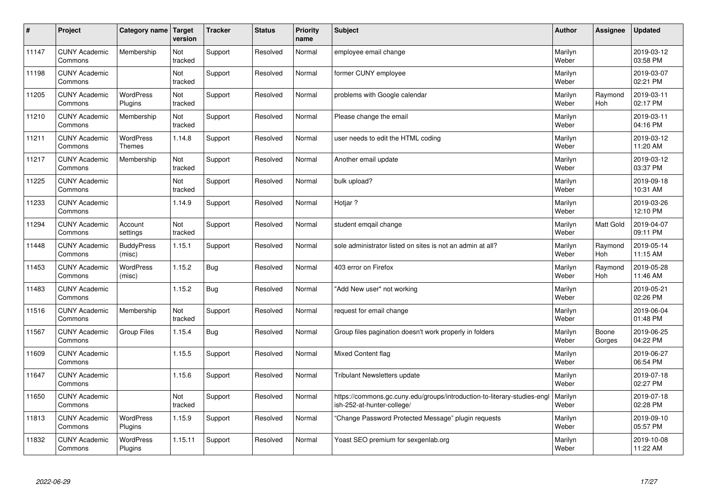| $\sharp$ | Project                         | Category name   Target            | version        | <b>Tracker</b> | <b>Status</b> | <b>Priority</b><br>name | <b>Subject</b>                                                                                        | <b>Author</b>    | Assignee         | <b>Updated</b>         |
|----------|---------------------------------|-----------------------------------|----------------|----------------|---------------|-------------------------|-------------------------------------------------------------------------------------------------------|------------------|------------------|------------------------|
| 11147    | <b>CUNY Academic</b><br>Commons | Membership                        | Not<br>tracked | Support        | Resolved      | Normal                  | employee email change                                                                                 | Marilyn<br>Weber |                  | 2019-03-12<br>03:58 PM |
| 11198    | <b>CUNY Academic</b><br>Commons |                                   | Not<br>tracked | Support        | Resolved      | Normal                  | former CUNY employee                                                                                  | Marilyn<br>Weber |                  | 2019-03-07<br>02:21 PM |
| 11205    | <b>CUNY Academic</b><br>Commons | <b>WordPress</b><br>Plugins       | Not<br>tracked | Support        | Resolved      | Normal                  | problems with Google calendar                                                                         | Marilyn<br>Weber | Raymond<br>Hoh   | 2019-03-11<br>02:17 PM |
| 11210    | <b>CUNY Academic</b><br>Commons | Membership                        | Not<br>tracked | Support        | Resolved      | Normal                  | Please change the email                                                                               | Marilyn<br>Weber |                  | 2019-03-11<br>04:16 PM |
| 11211    | <b>CUNY Academic</b><br>Commons | <b>WordPress</b><br><b>Themes</b> | 1.14.8         | Support        | Resolved      | Normal                  | user needs to edit the HTML coding                                                                    | Marilyn<br>Weber |                  | 2019-03-12<br>11:20 AM |
| 11217    | <b>CUNY Academic</b><br>Commons | Membership                        | Not<br>tracked | Support        | Resolved      | Normal                  | Another email update                                                                                  | Marilyn<br>Weber |                  | 2019-03-12<br>03:37 PM |
| 11225    | <b>CUNY Academic</b><br>Commons |                                   | Not<br>tracked | Support        | Resolved      | Normal                  | bulk upload?                                                                                          | Marilyn<br>Weber |                  | 2019-09-18<br>10:31 AM |
| 11233    | <b>CUNY Academic</b><br>Commons |                                   | 1.14.9         | Support        | Resolved      | Normal                  | Hotjar ?                                                                                              | Marilyn<br>Weber |                  | 2019-03-26<br>12:10 PM |
| 11294    | <b>CUNY Academic</b><br>Commons | Account<br>settings               | Not<br>tracked | Support        | Resolved      | Normal                  | student emgail change                                                                                 | Marilyn<br>Weber | <b>Matt Gold</b> | 2019-04-07<br>09:11 PM |
| 11448    | <b>CUNY Academic</b><br>Commons | <b>BuddyPress</b><br>(misc)       | 1.15.1         | Support        | Resolved      | Normal                  | sole administrator listed on sites is not an admin at all?                                            | Marilyn<br>Weber | Raymond<br>Hoh   | 2019-05-14<br>11:15 AM |
| 11453    | <b>CUNY Academic</b><br>Commons | <b>WordPress</b><br>(misc)        | 1.15.2         | <b>Bug</b>     | Resolved      | Normal                  | 403 error on Firefox                                                                                  | Marilyn<br>Weber | Raymond<br>Hoh   | 2019-05-28<br>11:46 AM |
| 11483    | <b>CUNY Academic</b><br>Commons |                                   | 1.15.2         | Bug            | Resolved      | Normal                  | 'Add New user" not working                                                                            | Marilyn<br>Weber |                  | 2019-05-21<br>02:26 PM |
| 11516    | <b>CUNY Academic</b><br>Commons | Membership                        | Not<br>tracked | Support        | Resolved      | Normal                  | request for email change                                                                              | Marilyn<br>Weber |                  | 2019-06-04<br>01:48 PM |
| 11567    | <b>CUNY Academic</b><br>Commons | <b>Group Files</b>                | 1.15.4         | Bug            | Resolved      | Normal                  | Group files pagination doesn't work properly in folders                                               | Marilyn<br>Weber | Boone<br>Gorges  | 2019-06-25<br>04:22 PM |
| 11609    | <b>CUNY Academic</b><br>Commons |                                   | 1.15.5         | Support        | Resolved      | Normal                  | Mixed Content flag                                                                                    | Marilyn<br>Weber |                  | 2019-06-27<br>06:54 PM |
| 11647    | <b>CUNY Academic</b><br>Commons |                                   | 1.15.6         | Support        | Resolved      | Normal                  | Tribulant Newsletters update                                                                          | Marilyn<br>Weber |                  | 2019-07-18<br>02:27 PM |
| 11650    | <b>CUNY Academic</b><br>Commons |                                   | Not<br>tracked | Support        | Resolved      | Normal                  | https://commons.gc.cuny.edu/groups/introduction-to-literary-studies-eng<br>ish-252-at-hunter-college/ | Marilyn<br>Weber |                  | 2019-07-18<br>02:28 PM |
| 11813    | <b>CUNY Academic</b><br>Commons | WordPress<br>Plugins              | 1.15.9         | Support        | Resolved      | Normal                  | 'Change Password Protected Message" plugin requests                                                   | Marilyn<br>Weber |                  | 2019-09-10<br>05:57 PM |
| 11832    | <b>CUNY Academic</b><br>Commons | <b>WordPress</b><br>Plugins       | 1.15.11        | Support        | Resolved      | Normal                  | Yoast SEO premium for sexgenlab.org                                                                   | Marilyn<br>Weber |                  | 2019-10-08<br>11:22 AM |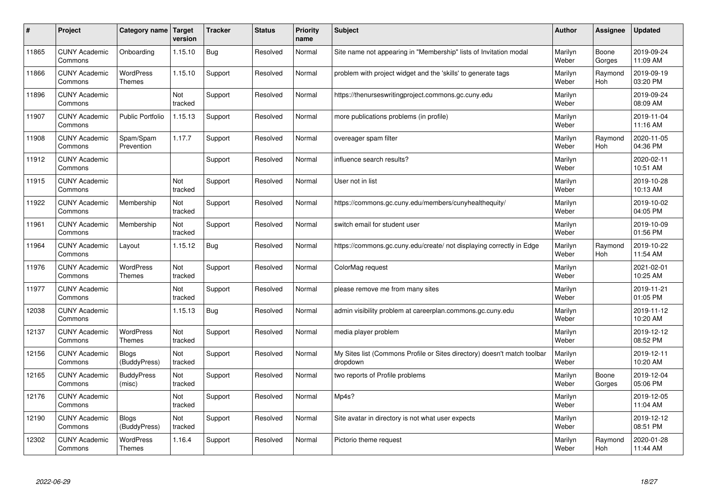| #     | Project                         | Category name                     | Target<br>version | <b>Tracker</b> | <b>Status</b> | <b>Priority</b><br>name | <b>Subject</b>                                                                       | <b>Author</b>    | <b>Assignee</b> | <b>Updated</b>         |
|-------|---------------------------------|-----------------------------------|-------------------|----------------|---------------|-------------------------|--------------------------------------------------------------------------------------|------------------|-----------------|------------------------|
| 11865 | <b>CUNY Academic</b><br>Commons | Onboarding                        | 1.15.10           | Bug            | Resolved      | Normal                  | Site name not appearing in "Membership" lists of Invitation modal                    | Marilyn<br>Weber | Boone<br>Gorges | 2019-09-24<br>11:09 AM |
| 11866 | <b>CUNY Academic</b><br>Commons | WordPress<br>Themes               | 1.15.10           | Support        | Resolved      | Normal                  | problem with project widget and the 'skills' to generate tags                        | Marilyn<br>Weber | Raymond<br>Hoh  | 2019-09-19<br>03:20 PM |
| 11896 | <b>CUNY Academic</b><br>Commons |                                   | Not<br>tracked    | Support        | Resolved      | Normal                  | https://thenurseswritingproject.commons.gc.cuny.edu                                  | Marilyn<br>Weber |                 | 2019-09-24<br>08:09 AM |
| 11907 | <b>CUNY Academic</b><br>Commons | <b>Public Portfolio</b>           | 1.15.13           | Support        | Resolved      | Normal                  | more publications problems (in profile)                                              | Marilyn<br>Weber |                 | 2019-11-04<br>11:16 AM |
| 11908 | <b>CUNY Academic</b><br>Commons | Spam/Spam<br>Prevention           | 1.17.7            | Support        | Resolved      | Normal                  | overeager spam filter                                                                | Marilyn<br>Weber | Raymond<br>Hoh  | 2020-11-05<br>04:36 PM |
| 11912 | <b>CUNY Academic</b><br>Commons |                                   |                   | Support        | Resolved      | Normal                  | influence search results?                                                            | Marilyn<br>Weber |                 | 2020-02-11<br>10:51 AM |
| 11915 | <b>CUNY Academic</b><br>Commons |                                   | Not<br>tracked    | Support        | Resolved      | Normal                  | User not in list                                                                     | Marilyn<br>Weber |                 | 2019-10-28<br>10:13 AM |
| 11922 | <b>CUNY Academic</b><br>Commons | Membership                        | Not<br>tracked    | Support        | Resolved      | Normal                  | https://commons.gc.cuny.edu/members/cunyhealthequity/                                | Marilyn<br>Weber |                 | 2019-10-02<br>04:05 PM |
| 11961 | <b>CUNY Academic</b><br>Commons | Membership                        | Not<br>tracked    | Support        | Resolved      | Normal                  | switch email for student user                                                        | Marilyn<br>Weber |                 | 2019-10-09<br>01:56 PM |
| 11964 | <b>CUNY Academic</b><br>Commons | Layout                            | 1.15.12           | <b>Bug</b>     | Resolved      | Normal                  | https://commons.gc.cuny.edu/create/ not displaying correctly in Edge                 | Marilyn<br>Weber | Raymond<br>Hoh  | 2019-10-22<br>11:54 AM |
| 11976 | <b>CUNY Academic</b><br>Commons | WordPress<br><b>Themes</b>        | Not<br>tracked    | Support        | Resolved      | Normal                  | ColorMag request                                                                     | Marilyn<br>Weber |                 | 2021-02-01<br>10:25 AM |
| 11977 | <b>CUNY Academic</b><br>Commons |                                   | Not<br>tracked    | Support        | Resolved      | Normal                  | please remove me from many sites                                                     | Marilyn<br>Weber |                 | 2019-11-21<br>01:05 PM |
| 12038 | <b>CUNY Academic</b><br>Commons |                                   | 1.15.13           | Bug            | Resolved      | Normal                  | admin visibility problem at careerplan.commons.gc.cuny.edu                           | Marilyn<br>Weber |                 | 2019-11-12<br>10:20 AM |
| 12137 | <b>CUNY Academic</b><br>Commons | <b>WordPress</b><br><b>Themes</b> | Not<br>tracked    | Support        | Resolved      | Normal                  | media player problem                                                                 | Marilyn<br>Weber |                 | 2019-12-12<br>08:52 PM |
| 12156 | <b>CUNY Academic</b><br>Commons | <b>Blogs</b><br>(BuddyPress)      | Not<br>tracked    | Support        | Resolved      | Normal                  | My Sites list (Commons Profile or Sites directory) doesn't match toolbar<br>dropdown | Marilyn<br>Weber |                 | 2019-12-11<br>10:20 AM |
| 12165 | <b>CUNY Academic</b><br>Commons | <b>BuddyPress</b><br>(misc)       | Not<br>tracked    | Support        | Resolved      | Normal                  | two reports of Profile problems                                                      | Marilyn<br>Weber | Boone<br>Gorges | 2019-12-04<br>05:06 PM |
| 12176 | <b>CUNY Academic</b><br>Commons |                                   | Not<br>tracked    | Support        | Resolved      | Normal                  | Mp4s?                                                                                | Marilyn<br>Weber |                 | 2019-12-05<br>11:04 AM |
| 12190 | <b>CUNY Academic</b><br>Commons | Blogs<br>(BuddyPress)             | Not<br>tracked    | Support        | Resolved      | Normal                  | Site avatar in directory is not what user expects                                    | Marilyn<br>Weber |                 | 2019-12-12<br>08:51 PM |
| 12302 | <b>CUNY Academic</b><br>Commons | <b>WordPress</b><br><b>Themes</b> | 1.16.4            | Support        | Resolved      | Normal                  | Pictorio theme request                                                               | Marilyn<br>Weber | Raymond<br>Hoh  | 2020-01-28<br>11:44 AM |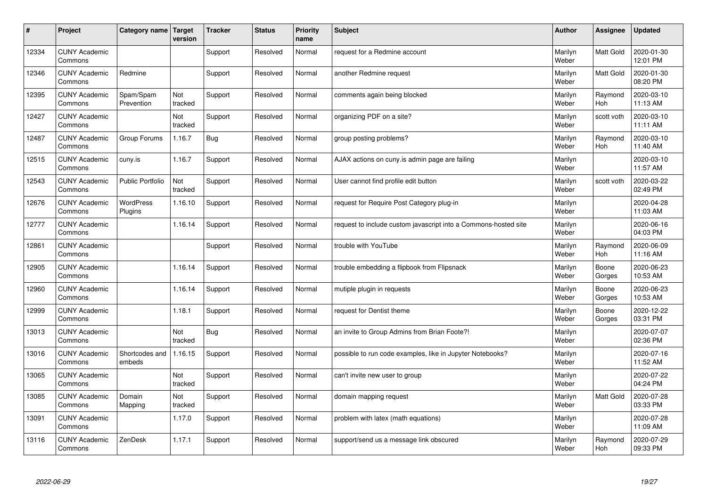| #     | Project                         | Category name   Target   | version        | <b>Tracker</b> | <b>Status</b> | <b>Priority</b><br>name | <b>Subject</b>                                                  | <b>Author</b>    | Assignee              | <b>Updated</b>         |
|-------|---------------------------------|--------------------------|----------------|----------------|---------------|-------------------------|-----------------------------------------------------------------|------------------|-----------------------|------------------------|
| 12334 | <b>CUNY Academic</b><br>Commons |                          |                | Support        | Resolved      | Normal                  | request for a Redmine account                                   | Marilyn<br>Weber | <b>Matt Gold</b>      | 2020-01-30<br>12:01 PM |
| 12346 | <b>CUNY Academic</b><br>Commons | Redmine                  |                | Support        | Resolved      | Normal                  | another Redmine request                                         | Marilyn<br>Weber | <b>Matt Gold</b>      | 2020-01-30<br>08:20 PM |
| 12395 | <b>CUNY Academic</b><br>Commons | Spam/Spam<br>Prevention  | Not<br>tracked | Support        | Resolved      | Normal                  | comments again being blocked                                    | Marilyn<br>Weber | Raymond<br><b>Hoh</b> | 2020-03-10<br>11:13 AM |
| 12427 | <b>CUNY Academic</b><br>Commons |                          | Not<br>tracked | Support        | Resolved      | Normal                  | organizing PDF on a site?                                       | Marilyn<br>Weber | scott voth            | 2020-03-10<br>11:11 AM |
| 12487 | <b>CUNY Academic</b><br>Commons | Group Forums             | 1.16.7         | Bug            | Resolved      | Normal                  | group posting problems?                                         | Marilyn<br>Weber | Raymond<br>Hoh        | 2020-03-10<br>11:40 AM |
| 12515 | <b>CUNY Academic</b><br>Commons | cuny.is                  | 1.16.7         | Support        | Resolved      | Normal                  | AJAX actions on cuny is admin page are failing                  | Marilyn<br>Weber |                       | 2020-03-10<br>11:57 AM |
| 12543 | <b>CUNY Academic</b><br>Commons | <b>Public Portfolio</b>  | Not<br>tracked | Support        | Resolved      | Normal                  | User cannot find profile edit button                            | Marilyn<br>Weber | scott voth            | 2020-03-22<br>02:49 PM |
| 12676 | <b>CUNY Academic</b><br>Commons | WordPress<br>Plugins     | 1.16.10        | Support        | Resolved      | Normal                  | request for Require Post Category plug-in                       | Marilyn<br>Weber |                       | 2020-04-28<br>11:03 AM |
| 12777 | <b>CUNY Academic</b><br>Commons |                          | 1.16.14        | Support        | Resolved      | Normal                  | request to include custom javascript into a Commons-hosted site | Marilyn<br>Weber |                       | 2020-06-16<br>04:03 PM |
| 12861 | <b>CUNY Academic</b><br>Commons |                          |                | Support        | Resolved      | Normal                  | trouble with YouTube                                            | Marilyn<br>Weber | Raymond<br>Hoh        | 2020-06-09<br>11:16 AM |
| 12905 | <b>CUNY Academic</b><br>Commons |                          | 1.16.14        | Support        | Resolved      | Normal                  | trouble embedding a flipbook from Flipsnack                     | Marilyn<br>Weber | Boone<br>Gorges       | 2020-06-23<br>10:53 AM |
| 12960 | <b>CUNY Academic</b><br>Commons |                          | 1.16.14        | Support        | Resolved      | Normal                  | mutiple plugin in requests                                      | Marilyn<br>Weber | Boone<br>Gorges       | 2020-06-23<br>10:53 AM |
| 12999 | <b>CUNY Academic</b><br>Commons |                          | 1.18.1         | Support        | Resolved      | Normal                  | request for Dentist theme                                       | Marilyn<br>Weber | Boone<br>Gorges       | 2020-12-22<br>03:31 PM |
| 13013 | <b>CUNY Academic</b><br>Commons |                          | Not<br>tracked | Bug            | Resolved      | Normal                  | an invite to Group Admins from Brian Foote?!                    | Marilyn<br>Weber |                       | 2020-07-07<br>02:36 PM |
| 13016 | <b>CUNY Academic</b><br>Commons | Shortcodes and<br>embeds | 1.16.15        | Support        | Resolved      | Normal                  | possible to run code examples, like in Jupyter Notebooks?       | Marilyn<br>Weber |                       | 2020-07-16<br>11:52 AM |
| 13065 | <b>CUNY Academic</b><br>Commons |                          | Not<br>tracked | Support        | Resolved      | Normal                  | can't invite new user to group                                  | Marilyn<br>Weber |                       | 2020-07-22<br>04:24 PM |
| 13085 | <b>CUNY Academic</b><br>Commons | Domain<br>Mapping        | Not<br>tracked | Support        | Resolved      | Normal                  | domain mapping request                                          | Marilyn<br>Weber | <b>Matt Gold</b>      | 2020-07-28<br>03:33 PM |
| 13091 | <b>CUNY Academic</b><br>Commons |                          | 1.17.0         | Support        | Resolved      | Normal                  | problem with latex (math equations)                             | Marilyn<br>Weber |                       | 2020-07-28<br>11:09 AM |
| 13116 | <b>CUNY Academic</b><br>Commons | ZenDesk                  | 1.17.1         | Support        | Resolved      | Normal                  | support/send us a message link obscured                         | Marilyn<br>Weber | Raymond<br>Hoh        | 2020-07-29<br>09:33 PM |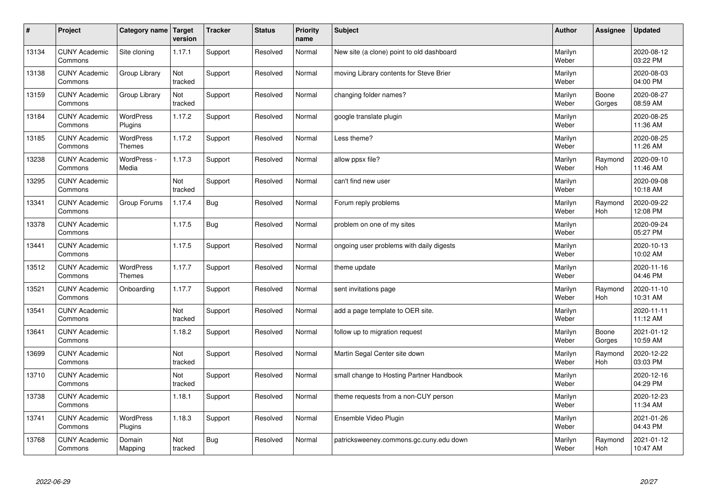| $\sharp$ | Project                         | Category name   Target            | version        | <b>Tracker</b> | <b>Status</b> | <b>Priority</b><br>name | <b>Subject</b>                            | <b>Author</b>    | Assignee              | <b>Updated</b>         |
|----------|---------------------------------|-----------------------------------|----------------|----------------|---------------|-------------------------|-------------------------------------------|------------------|-----------------------|------------------------|
| 13134    | <b>CUNY Academic</b><br>Commons | Site cloning                      | 1.17.1         | Support        | Resolved      | Normal                  | New site (a clone) point to old dashboard | Marilyn<br>Weber |                       | 2020-08-12<br>03:22 PM |
| 13138    | <b>CUNY Academic</b><br>Commons | Group Library                     | Not<br>tracked | Support        | Resolved      | Normal                  | moving Library contents for Steve Brier   | Marilyn<br>Weber |                       | 2020-08-03<br>04:00 PM |
| 13159    | <b>CUNY Academic</b><br>Commons | Group Library                     | Not<br>tracked | Support        | Resolved      | Normal                  | changing folder names?                    | Marilyn<br>Weber | Boone<br>Gorges       | 2020-08-27<br>08:59 AM |
| 13184    | <b>CUNY Academic</b><br>Commons | <b>WordPress</b><br>Plugins       | 1.17.2         | Support        | Resolved      | Normal                  | google translate plugin                   | Marilyn<br>Weber |                       | 2020-08-25<br>11:36 AM |
| 13185    | <b>CUNY Academic</b><br>Commons | <b>WordPress</b><br><b>Themes</b> | 1.17.2         | Support        | Resolved      | Normal                  | Less theme?                               | Marilyn<br>Weber |                       | 2020-08-25<br>11:26 AM |
| 13238    | <b>CUNY Academic</b><br>Commons | WordPress -<br>Media              | 1.17.3         | Support        | Resolved      | Normal                  | allow ppsx file?                          | Marilyn<br>Weber | Raymond<br>Hoh        | 2020-09-10<br>11:46 AM |
| 13295    | <b>CUNY Academic</b><br>Commons |                                   | Not<br>tracked | Support        | Resolved      | Normal                  | can't find new user                       | Marilyn<br>Weber |                       | 2020-09-08<br>10:18 AM |
| 13341    | <b>CUNY Academic</b><br>Commons | Group Forums                      | 1.17.4         | Bug            | Resolved      | Normal                  | Forum reply problems                      | Marilyn<br>Weber | Raymond<br><b>Hoh</b> | 2020-09-22<br>12:08 PM |
| 13378    | <b>CUNY Academic</b><br>Commons |                                   | 1.17.5         | Bug            | Resolved      | Normal                  | problem on one of my sites                | Marilyn<br>Weber |                       | 2020-09-24<br>05:27 PM |
| 13441    | <b>CUNY Academic</b><br>Commons |                                   | 1.17.5         | Support        | Resolved      | Normal                  | ongoing user problems with daily digests  | Marilyn<br>Weber |                       | 2020-10-13<br>10:02 AM |
| 13512    | <b>CUNY Academic</b><br>Commons | <b>WordPress</b><br><b>Themes</b> | 1.17.7         | Support        | Resolved      | Normal                  | theme update                              | Marilyn<br>Weber |                       | 2020-11-16<br>04:46 PM |
| 13521    | <b>CUNY Academic</b><br>Commons | Onboarding                        | 1.17.7         | Support        | Resolved      | Normal                  | sent invitations page                     | Marilyn<br>Weber | Raymond<br>Hoh        | 2020-11-10<br>10:31 AM |
| 13541    | <b>CUNY Academic</b><br>Commons |                                   | Not<br>tracked | Support        | Resolved      | Normal                  | add a page template to OER site.          | Marilyn<br>Weber |                       | 2020-11-11<br>11:12 AM |
| 13641    | <b>CUNY Academic</b><br>Commons |                                   | 1.18.2         | Support        | Resolved      | Normal                  | follow up to migration request            | Marilyn<br>Weber | Boone<br>Gorges       | 2021-01-12<br>10:59 AM |
| 13699    | <b>CUNY Academic</b><br>Commons |                                   | Not<br>tracked | Support        | Resolved      | Normal                  | Martin Segal Center site down             | Marilyn<br>Weber | Raymond<br>Hoh        | 2020-12-22<br>03:03 PM |
| 13710    | <b>CUNY Academic</b><br>Commons |                                   | Not<br>tracked | Support        | Resolved      | Normal                  | small change to Hosting Partner Handbook  | Marilyn<br>Weber |                       | 2020-12-16<br>04:29 PM |
| 13738    | <b>CUNY Academic</b><br>Commons |                                   | 1.18.1         | Support        | Resolved      | Normal                  | theme requests from a non-CUY person      | Marilyn<br>Weber |                       | 2020-12-23<br>11:34 AM |
| 13741    | <b>CUNY Academic</b><br>Commons | WordPress<br>Plugins              | 1.18.3         | Support        | Resolved      | Normal                  | Ensemble Video Plugin                     | Marilyn<br>Weber |                       | 2021-01-26<br>04:43 PM |
| 13768    | <b>CUNY Academic</b><br>Commons | Domain<br>Mapping                 | Not<br>tracked | <b>Bug</b>     | Resolved      | Normal                  | patricksweeney.commons.gc.cuny.edu down   | Marilyn<br>Weber | Raymond<br>Hoh        | 2021-01-12<br>10:47 AM |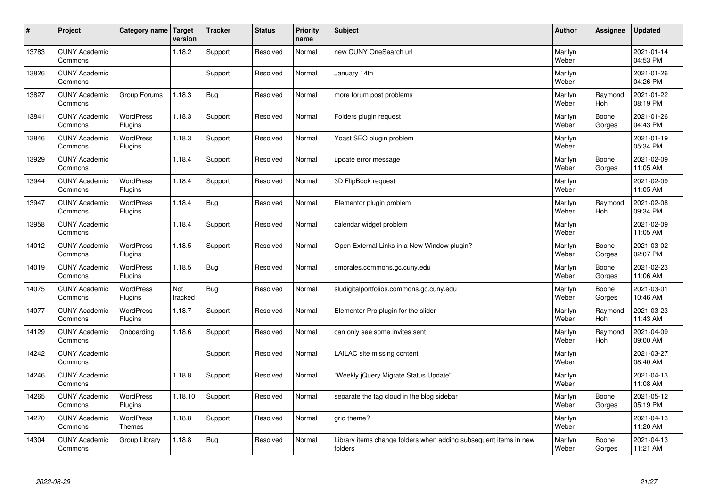| #     | Project                         | Category name   Target      | version        | <b>Tracker</b> | <b>Status</b> | <b>Priority</b><br>name | <b>Subject</b>                                                              | <b>Author</b>    | Assignee        | <b>Updated</b>         |
|-------|---------------------------------|-----------------------------|----------------|----------------|---------------|-------------------------|-----------------------------------------------------------------------------|------------------|-----------------|------------------------|
| 13783 | <b>CUNY Academic</b><br>Commons |                             | 1.18.2         | Support        | Resolved      | Normal                  | new CUNY OneSearch url                                                      | Marilyn<br>Weber |                 | 2021-01-14<br>04:53 PM |
| 13826 | <b>CUNY Academic</b><br>Commons |                             |                | Support        | Resolved      | Normal                  | January 14th                                                                | Marilyn<br>Weber |                 | 2021-01-26<br>04:26 PM |
| 13827 | <b>CUNY Academic</b><br>Commons | Group Forums                | 1.18.3         | <b>Bug</b>     | Resolved      | Normal                  | more forum post problems                                                    | Marilyn<br>Weber | Raymond<br>Hoh  | 2021-01-22<br>08:19 PM |
| 13841 | <b>CUNY Academic</b><br>Commons | <b>WordPress</b><br>Plugins | 1.18.3         | Support        | Resolved      | Normal                  | Folders plugin request                                                      | Marilyn<br>Weber | Boone<br>Gorges | 2021-01-26<br>04:43 PM |
| 13846 | <b>CUNY Academic</b><br>Commons | <b>WordPress</b><br>Plugins | 1.18.3         | Support        | Resolved      | Normal                  | Yoast SEO plugin problem                                                    | Marilyn<br>Weber |                 | 2021-01-19<br>05:34 PM |
| 13929 | <b>CUNY Academic</b><br>Commons |                             | 1.18.4         | Support        | Resolved      | Normal                  | update error message                                                        | Marilyn<br>Weber | Boone<br>Gorges | 2021-02-09<br>11:05 AM |
| 13944 | <b>CUNY Academic</b><br>Commons | <b>WordPress</b><br>Plugins | 1.18.4         | Support        | Resolved      | Normal                  | 3D FlipBook request                                                         | Marilyn<br>Weber |                 | 2021-02-09<br>11:05 AM |
| 13947 | <b>CUNY Academic</b><br>Commons | WordPress<br>Plugins        | 1.18.4         | <b>Bug</b>     | Resolved      | Normal                  | Elementor plugin problem                                                    | Marilyn<br>Weber | Raymond<br>Hoh  | 2021-02-08<br>09:34 PM |
| 13958 | <b>CUNY Academic</b><br>Commons |                             | 1.18.4         | Support        | Resolved      | Normal                  | calendar widget problem                                                     | Marilyn<br>Weber |                 | 2021-02-09<br>11:05 AM |
| 14012 | <b>CUNY Academic</b><br>Commons | <b>WordPress</b><br>Plugins | 1.18.5         | Support        | Resolved      | Normal                  | Open External Links in a New Window plugin?                                 | Marilyn<br>Weber | Boone<br>Gorges | 2021-03-02<br>02:07 PM |
| 14019 | <b>CUNY Academic</b><br>Commons | <b>WordPress</b><br>Plugins | 1.18.5         | <b>Bug</b>     | Resolved      | Normal                  | smorales.commons.gc.cuny.edu                                                | Marilyn<br>Weber | Boone<br>Gorges | 2021-02-23<br>11:06 AM |
| 14075 | <b>CUNY Academic</b><br>Commons | <b>WordPress</b><br>Plugins | Not<br>tracked | <b>Bug</b>     | Resolved      | Normal                  | sludigitalportfolios.commons.gc.cuny.edu                                    | Marilyn<br>Weber | Boone<br>Gorges | 2021-03-01<br>10:46 AM |
| 14077 | <b>CUNY Academic</b><br>Commons | <b>WordPress</b><br>Plugins | 1.18.7         | Support        | Resolved      | Normal                  | Elementor Pro plugin for the slider                                         | Marilyn<br>Weber | Raymond<br>Hoh  | 2021-03-23<br>11:43 AM |
| 14129 | <b>CUNY Academic</b><br>Commons | Onboarding                  | 1.18.6         | Support        | Resolved      | Normal                  | can only see some invites sent                                              | Marilyn<br>Weber | Raymond<br>Hoh  | 2021-04-09<br>09:00 AM |
| 14242 | <b>CUNY Academic</b><br>Commons |                             |                | Support        | Resolved      | Normal                  | LAILAC site missing content                                                 | Marilyn<br>Weber |                 | 2021-03-27<br>08:40 AM |
| 14246 | <b>CUNY Academic</b><br>Commons |                             | 1.18.8         | Support        | Resolved      | Normal                  | 'Weekly jQuery Migrate Status Update"                                       | Marilyn<br>Weber |                 | 2021-04-13<br>11:08 AM |
| 14265 | <b>CUNY Academic</b><br>Commons | WordPress<br>Plugins        | 1.18.10        | Support        | Resolved      | Normal                  | separate the tag cloud in the blog sidebar                                  | Marilyn<br>Weber | Boone<br>Gorges | 2021-05-12<br>05:19 PM |
| 14270 | <b>CUNY Academic</b><br>Commons | WordPress<br><b>Themes</b>  | 1.18.8         | Support        | Resolved      | Normal                  | grid theme?                                                                 | Marilyn<br>Weber |                 | 2021-04-13<br>11:20 AM |
| 14304 | <b>CUNY Academic</b><br>Commons | Group Library               | 1.18.8         | <b>Bug</b>     | Resolved      | Normal                  | Library items change folders when adding subsequent items in new<br>folders | Marilyn<br>Weber | Boone<br>Gorges | 2021-04-13<br>11:21 AM |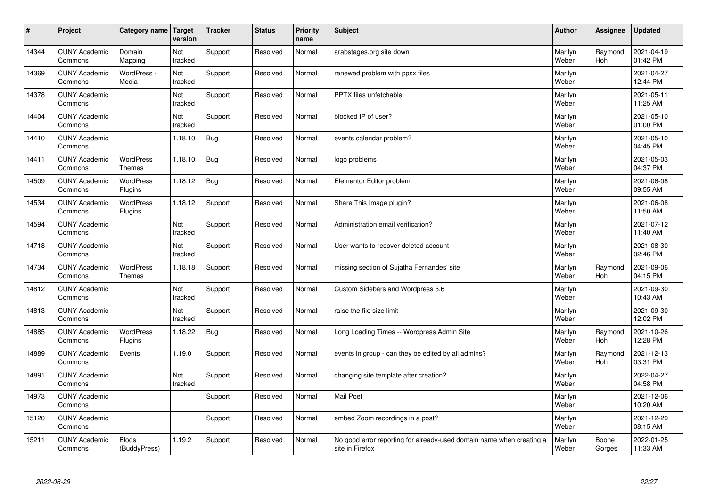| $\pmb{\sharp}$ | Project                         | Category name                | Target<br>version | <b>Tracker</b> | <b>Status</b> | <b>Priority</b><br>name | <b>Subject</b>                                                                          | <b>Author</b>    | Assignee        | <b>Updated</b>         |
|----------------|---------------------------------|------------------------------|-------------------|----------------|---------------|-------------------------|-----------------------------------------------------------------------------------------|------------------|-----------------|------------------------|
| 14344          | <b>CUNY Academic</b><br>Commons | Domain<br>Mapping            | Not<br>tracked    | Support        | Resolved      | Normal                  | arabstages.org site down                                                                | Marilyn<br>Weber | Raymond<br>Hoh  | 2021-04-19<br>01:42 PM |
| 14369          | <b>CUNY Academic</b><br>Commons | WordPress -<br>Media         | Not<br>tracked    | Support        | Resolved      | Normal                  | renewed problem with ppsx files                                                         | Marilyn<br>Weber |                 | 2021-04-27<br>12:44 PM |
| 14378          | <b>CUNY Academic</b><br>Commons |                              | Not<br>tracked    | Support        | Resolved      | Normal                  | <b>PPTX</b> files unfetchable                                                           | Marilyn<br>Weber |                 | 2021-05-11<br>11:25 AM |
| 14404          | <b>CUNY Academic</b><br>Commons |                              | Not<br>tracked    | Support        | Resolved      | Normal                  | blocked IP of user?                                                                     | Marilyn<br>Weber |                 | 2021-05-10<br>01:00 PM |
| 14410          | <b>CUNY Academic</b><br>Commons |                              | 1.18.10           | <b>Bug</b>     | Resolved      | Normal                  | events calendar problem?                                                                | Marilyn<br>Weber |                 | 2021-05-10<br>04:45 PM |
| 14411          | <b>CUNY Academic</b><br>Commons | <b>WordPress</b><br>Themes   | 1.18.10           | Bug            | Resolved      | Normal                  | logo problems                                                                           | Marilyn<br>Weber |                 | 2021-05-03<br>04:37 PM |
| 14509          | <b>CUNY Academic</b><br>Commons | WordPress<br>Plugins         | 1.18.12           | <b>Bug</b>     | Resolved      | Normal                  | Elementor Editor problem                                                                | Marilyn<br>Weber |                 | 2021-06-08<br>09:55 AM |
| 14534          | <b>CUNY Academic</b><br>Commons | WordPress<br>Plugins         | 1.18.12           | Support        | Resolved      | Normal                  | Share This Image plugin?                                                                | Marilyn<br>Weber |                 | 2021-06-08<br>11:50 AM |
| 14594          | <b>CUNY Academic</b><br>Commons |                              | Not<br>tracked    | Support        | Resolved      | Normal                  | Administration email verification?                                                      | Marilyn<br>Weber |                 | 2021-07-12<br>11:40 AM |
| 14718          | <b>CUNY Academic</b><br>Commons |                              | Not<br>tracked    | Support        | Resolved      | Normal                  | User wants to recover deleted account                                                   | Marilyn<br>Weber |                 | 2021-08-30<br>02:46 PM |
| 14734          | <b>CUNY Academic</b><br>Commons | <b>WordPress</b><br>Themes   | 1.18.18           | Support        | Resolved      | Normal                  | missing section of Sujatha Fernandes' site                                              | Marilyn<br>Weber | Raymond<br>Hoh  | 2021-09-06<br>04:15 PM |
| 14812          | <b>CUNY Academic</b><br>Commons |                              | Not<br>tracked    | Support        | Resolved      | Normal                  | Custom Sidebars and Wordpress 5.6                                                       | Marilyn<br>Weber |                 | 2021-09-30<br>10:43 AM |
| 14813          | <b>CUNY Academic</b><br>Commons |                              | Not<br>tracked    | Support        | Resolved      | Normal                  | raise the file size limit                                                               | Marilyn<br>Weber |                 | 2021-09-30<br>12:02 PM |
| 14885          | <b>CUNY Academic</b><br>Commons | <b>WordPress</b><br>Plugins  | 1.18.22           | <b>Bug</b>     | Resolved      | Normal                  | Long Loading Times -- Wordpress Admin Site                                              | Marilyn<br>Weber | Raymond<br>Hoh  | 2021-10-26<br>12:28 PM |
| 14889          | <b>CUNY Academic</b><br>Commons | Events                       | 1.19.0            | Support        | Resolved      | Normal                  | events in group - can they be edited by all admins?                                     | Marilyn<br>Weber | Raymond<br>Hoh  | 2021-12-13<br>03:31 PM |
| 14891          | <b>CUNY Academic</b><br>Commons |                              | Not<br>tracked    | Support        | Resolved      | Normal                  | changing site template after creation?                                                  | Marilyn<br>Weber |                 | 2022-04-27<br>04:58 PM |
| 14973          | <b>CUNY Academic</b><br>Commons |                              |                   | Support        | Resolved      | Normal                  | Mail Poet                                                                               | Marilyn<br>Weber |                 | 2021-12-06<br>10:20 AM |
| 15120          | <b>CUNY Academic</b><br>Commons |                              |                   | Support        | Resolved      | Normal                  | embed Zoom recordings in a post?                                                        | Marilyn<br>Weber |                 | 2021-12-29<br>08:15 AM |
| 15211          | <b>CUNY Academic</b><br>Commons | <b>Blogs</b><br>(BuddyPress) | 1.19.2            | Support        | Resolved      | Normal                  | No good error reporting for already-used domain name when creating a<br>site in Firefox | Marilyn<br>Weber | Boone<br>Gorges | 2022-01-25<br>11:33 AM |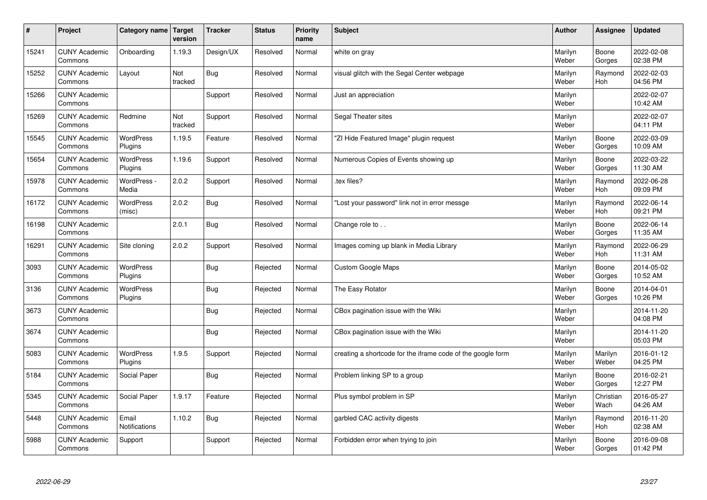| $\sharp$ | Project                         | Category name   Target        | version        | <b>Tracker</b> | <b>Status</b> | <b>Priority</b><br>name | <b>Subject</b>                                              | <b>Author</b>    | Assignee          | <b>Updated</b>         |
|----------|---------------------------------|-------------------------------|----------------|----------------|---------------|-------------------------|-------------------------------------------------------------|------------------|-------------------|------------------------|
| 15241    | <b>CUNY Academic</b><br>Commons | Onboarding                    | 1.19.3         | Design/UX      | Resolved      | Normal                  | white on gray                                               | Marilyn<br>Weber | Boone<br>Gorges   | 2022-02-08<br>02:38 PM |
| 15252    | <b>CUNY Academic</b><br>Commons | Layout                        | Not<br>tracked | Bug            | Resolved      | Normal                  | visual glitch with the Segal Center webpage                 | Marilyn<br>Weber | Raymond<br>Hoh    | 2022-02-03<br>04:56 PM |
| 15266    | <b>CUNY Academic</b><br>Commons |                               |                | Support        | Resolved      | Normal                  | Just an appreciation                                        | Marilyn<br>Weber |                   | 2022-02-07<br>10:42 AM |
| 15269    | <b>CUNY Academic</b><br>Commons | Redmine                       | Not<br>tracked | Support        | Resolved      | Normal                  | Segal Theater sites                                         | Marilyn<br>Weber |                   | 2022-02-07<br>04:11 PM |
| 15545    | <b>CUNY Academic</b><br>Commons | <b>WordPress</b><br>Plugins   | 1.19.5         | Feature        | Resolved      | Normal                  | "ZI Hide Featured Image" plugin request                     | Marilyn<br>Weber | Boone<br>Gorges   | 2022-03-09<br>10:09 AM |
| 15654    | <b>CUNY Academic</b><br>Commons | WordPress<br>Plugins          | 1.19.6         | Support        | Resolved      | Normal                  | Numerous Copies of Events showing up                        | Marilyn<br>Weber | Boone<br>Gorges   | 2022-03-22<br>11:30 AM |
| 15978    | <b>CUNY Academic</b><br>Commons | WordPress -<br>Media          | 2.0.2          | Support        | Resolved      | Normal                  | .tex files?                                                 | Marilyn<br>Weber | Raymond<br>Hoh    | 2022-06-28<br>09:09 PM |
| 16172    | <b>CUNY Academic</b><br>Commons | WordPress<br>(misc)           | 2.0.2          | Bug            | Resolved      | Normal                  | 'Lost your password" link not in error messge               | Marilyn<br>Weber | Raymond<br>Hoh    | 2022-06-14<br>09:21 PM |
| 16198    | <b>CUNY Academic</b><br>Commons |                               | 2.0.1          | Bug            | Resolved      | Normal                  | Change role to                                              | Marilyn<br>Weber | Boone<br>Gorges   | 2022-06-14<br>11:35 AM |
| 16291    | <b>CUNY Academic</b><br>Commons | Site cloning                  | 2.0.2          | Support        | Resolved      | Normal                  | Images coming up blank in Media Library                     | Marilyn<br>Weber | Raymond<br>Hoh    | 2022-06-29<br>11:31 AM |
| 3093     | <b>CUNY Academic</b><br>Commons | WordPress<br>Plugins          |                | <b>Bug</b>     | Rejected      | Normal                  | Custom Google Maps                                          | Marilyn<br>Weber | Boone<br>Gorges   | 2014-05-02<br>10:52 AM |
| 3136     | <b>CUNY Academic</b><br>Commons | <b>WordPress</b><br>Plugins   |                | <b>Bug</b>     | Rejected      | Normal                  | The Easy Rotator                                            | Marilyn<br>Weber | Boone<br>Gorges   | 2014-04-01<br>10:26 PM |
| 3673     | <b>CUNY Academic</b><br>Commons |                               |                | Bug            | Rejected      | Normal                  | CBox pagination issue with the Wiki                         | Marilyn<br>Weber |                   | 2014-11-20<br>04:08 PM |
| 3674     | <b>CUNY Academic</b><br>Commons |                               |                | <b>Bug</b>     | Rejected      | Normal                  | CBox pagination issue with the Wiki                         | Marilyn<br>Weber |                   | 2014-11-20<br>05:03 PM |
| 5083     | <b>CUNY Academic</b><br>Commons | <b>WordPress</b><br>Plugins   | 1.9.5          | Support        | Rejected      | Normal                  | creating a shortcode for the iframe code of the google form | Marilyn<br>Weber | Marilyn<br>Weber  | 2016-01-12<br>04:25 PM |
| 5184     | <b>CUNY Academic</b><br>Commons | Social Paper                  |                | <b>Bug</b>     | Rejected      | Normal                  | Problem linking SP to a group                               | Marilyn<br>Weber | Boone<br>Gorges   | 2016-02-21<br>12:27 PM |
| 5345     | <b>CUNY Academic</b><br>Commons | Social Paper                  | 1.9.17         | Feature        | Rejected      | Normal                  | Plus symbol problem in SP                                   | Marilyn<br>Weber | Christian<br>Wach | 2016-05-27<br>04:26 AM |
| 5448     | <b>CUNY Academic</b><br>Commons | Email<br><b>Notifications</b> | 1.10.2         | Bug            | Rejected      | Normal                  | garbled CAC activity digests                                | Marilyn<br>Weber | Raymond<br>Hoh    | 2016-11-20<br>02:38 AM |
| 5988     | <b>CUNY Academic</b><br>Commons | Support                       |                | Support        | Rejected      | Normal                  | Forbidden error when trying to join                         | Marilyn<br>Weber | Boone<br>Gorges   | 2016-09-08<br>01:42 PM |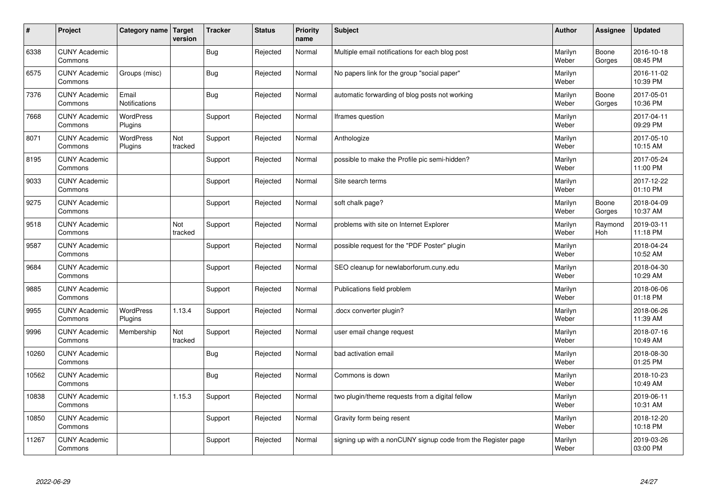| $\sharp$ | Project                         | Category name   Target        | version        | <b>Tracker</b> | <b>Status</b> | <b>Priority</b><br>name | <b>Subject</b>                                               | <b>Author</b>    | Assignee        | Updated                |
|----------|---------------------------------|-------------------------------|----------------|----------------|---------------|-------------------------|--------------------------------------------------------------|------------------|-----------------|------------------------|
| 6338     | <b>CUNY Academic</b><br>Commons |                               |                | Bug            | Rejected      | Normal                  | Multiple email notifications for each blog post              | Marilyn<br>Weber | Boone<br>Gorges | 2016-10-18<br>08:45 PM |
| 6575     | <b>CUNY Academic</b><br>Commons | Groups (misc)                 |                | Bug            | Rejected      | Normal                  | No papers link for the group "social paper"                  | Marilyn<br>Weber |                 | 2016-11-02<br>10:39 PM |
| 7376     | <b>CUNY Academic</b><br>Commons | Email<br><b>Notifications</b> |                | <b>Bug</b>     | Rejected      | Normal                  | automatic forwarding of blog posts not working               | Marilyn<br>Weber | Boone<br>Gorges | 2017-05-01<br>10:36 PM |
| 7668     | <b>CUNY Academic</b><br>Commons | <b>WordPress</b><br>Plugins   |                | Support        | Rejected      | Normal                  | Iframes question                                             | Marilyn<br>Weber |                 | 2017-04-11<br>09:29 PM |
| 8071     | <b>CUNY Academic</b><br>Commons | <b>WordPress</b><br>Plugins   | Not<br>tracked | Support        | Rejected      | Normal                  | Anthologize                                                  | Marilyn<br>Weber |                 | 2017-05-10<br>10:15 AM |
| 8195     | <b>CUNY Academic</b><br>Commons |                               |                | Support        | Rejected      | Normal                  | possible to make the Profile pic semi-hidden?                | Marilyn<br>Weber |                 | 2017-05-24<br>11:00 PM |
| 9033     | <b>CUNY Academic</b><br>Commons |                               |                | Support        | Rejected      | Normal                  | Site search terms                                            | Marilyn<br>Weber |                 | 2017-12-22<br>01:10 PM |
| 9275     | <b>CUNY Academic</b><br>Commons |                               |                | Support        | Rejected      | Normal                  | soft chalk page?                                             | Marilyn<br>Weber | Boone<br>Gorges | 2018-04-09<br>10:37 AM |
| 9518     | <b>CUNY Academic</b><br>Commons |                               | Not<br>tracked | Support        | Rejected      | Normal                  | problems with site on Internet Explorer                      | Marilyn<br>Weber | Raymond<br>Hoh  | 2019-03-11<br>11:18 PM |
| 9587     | <b>CUNY Academic</b><br>Commons |                               |                | Support        | Rejected      | Normal                  | possible request for the "PDF Poster" plugin                 | Marilyn<br>Weber |                 | 2018-04-24<br>10:52 AM |
| 9684     | <b>CUNY Academic</b><br>Commons |                               |                | Support        | Rejected      | Normal                  | SEO cleanup for newlaborforum.cuny.edu                       | Marilyn<br>Weber |                 | 2018-04-30<br>10:29 AM |
| 9885     | <b>CUNY Academic</b><br>Commons |                               |                | Support        | Rejected      | Normal                  | Publications field problem                                   | Marilyn<br>Weber |                 | 2018-06-06<br>01:18 PM |
| 9955     | <b>CUNY Academic</b><br>Commons | <b>WordPress</b><br>Plugins   | 1.13.4         | Support        | Rejected      | Normal                  | docx converter plugin?                                       | Marilyn<br>Weber |                 | 2018-06-26<br>11:39 AM |
| 9996     | <b>CUNY Academic</b><br>Commons | Membership                    | Not<br>tracked | Support        | Rejected      | Normal                  | user email change request                                    | Marilyn<br>Weber |                 | 2018-07-16<br>10:49 AM |
| 10260    | <b>CUNY Academic</b><br>Commons |                               |                | Bug            | Rejected      | Normal                  | bad activation email                                         | Marilyn<br>Weber |                 | 2018-08-30<br>01:25 PM |
| 10562    | <b>CUNY Academic</b><br>Commons |                               |                | <b>Bug</b>     | Rejected      | Normal                  | Commons is down                                              | Marilyn<br>Weber |                 | 2018-10-23<br>10:49 AM |
| 10838    | <b>CUNY Academic</b><br>Commons |                               | 1.15.3         | Support        | Rejected      | Normal                  | two plugin/theme requests from a digital fellow              | Marilyn<br>Weber |                 | 2019-06-11<br>10:31 AM |
| 10850    | <b>CUNY Academic</b><br>Commons |                               |                | Support        | Rejected      | Normal                  | Gravity form being resent                                    | Marilyn<br>Weber |                 | 2018-12-20<br>10:18 PM |
| 11267    | <b>CUNY Academic</b><br>Commons |                               |                | Support        | Rejected      | Normal                  | signing up with a nonCUNY signup code from the Register page | Marilyn<br>Weber |                 | 2019-03-26<br>03:00 PM |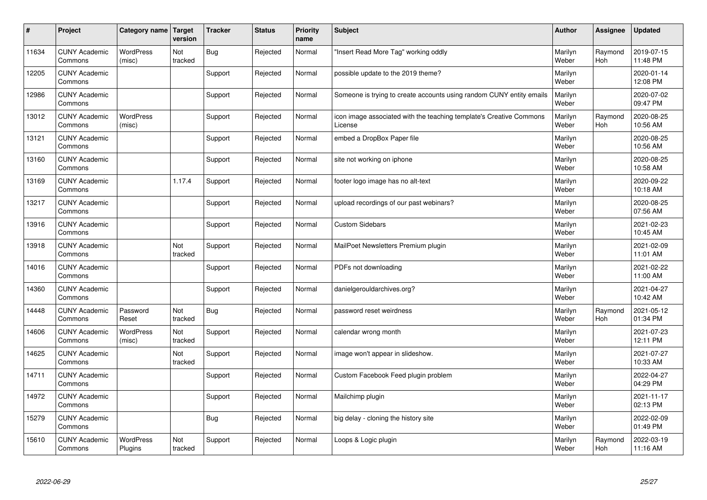| $\sharp$ | Project                         | Category name   Target      | version        | <b>Tracker</b> | <b>Status</b> | <b>Priority</b><br>name | <b>Subject</b>                                                                 | <b>Author</b>    | Assignee       | Updated                |
|----------|---------------------------------|-----------------------------|----------------|----------------|---------------|-------------------------|--------------------------------------------------------------------------------|------------------|----------------|------------------------|
| 11634    | <b>CUNY Academic</b><br>Commons | <b>WordPress</b><br>(misc)  | Not<br>tracked | <b>Bug</b>     | Rejected      | Normal                  | "Insert Read More Tag" working oddly                                           | Marilyn<br>Weber | Raymond<br>Hoh | 2019-07-15<br>11:48 PM |
| 12205    | <b>CUNY Academic</b><br>Commons |                             |                | Support        | Rejected      | Normal                  | possible update to the 2019 theme?                                             | Marilyn<br>Weber |                | 2020-01-14<br>12:08 PM |
| 12986    | <b>CUNY Academic</b><br>Commons |                             |                | Support        | Rejected      | Normal                  | Someone is trying to create accounts using random CUNY entity emails           | Marilyn<br>Weber |                | 2020-07-02<br>09:47 PM |
| 13012    | <b>CUNY Academic</b><br>Commons | <b>WordPress</b><br>(misc)  |                | Support        | Rejected      | Normal                  | icon image associated with the teaching template's Creative Commons<br>License | Marilyn<br>Weber | Raymond<br>Hoh | 2020-08-25<br>10:56 AM |
| 13121    | <b>CUNY Academic</b><br>Commons |                             |                | Support        | Rejected      | Normal                  | embed a DropBox Paper file                                                     | Marilyn<br>Weber |                | 2020-08-25<br>10:56 AM |
| 13160    | <b>CUNY Academic</b><br>Commons |                             |                | Support        | Rejected      | Normal                  | site not working on iphone                                                     | Marilyn<br>Weber |                | 2020-08-25<br>10:58 AM |
| 13169    | <b>CUNY Academic</b><br>Commons |                             | 1.17.4         | Support        | Rejected      | Normal                  | footer logo image has no alt-text                                              | Marilyn<br>Weber |                | 2020-09-22<br>10:18 AM |
| 13217    | <b>CUNY Academic</b><br>Commons |                             |                | Support        | Rejected      | Normal                  | upload recordings of our past webinars?                                        | Marilyn<br>Weber |                | 2020-08-25<br>07:56 AM |
| 13916    | <b>CUNY Academic</b><br>Commons |                             |                | Support        | Rejected      | Normal                  | <b>Custom Sidebars</b>                                                         | Marilyn<br>Weber |                | 2021-02-23<br>10:45 AM |
| 13918    | <b>CUNY Academic</b><br>Commons |                             | Not<br>tracked | Support        | Rejected      | Normal                  | MailPoet Newsletters Premium plugin                                            | Marilyn<br>Weber |                | 2021-02-09<br>11:01 AM |
| 14016    | <b>CUNY Academic</b><br>Commons |                             |                | Support        | Rejected      | Normal                  | PDFs not downloading                                                           | Marilyn<br>Weber |                | 2021-02-22<br>11:00 AM |
| 14360    | <b>CUNY Academic</b><br>Commons |                             |                | Support        | Rejected      | Normal                  | danielgerouldarchives.org?                                                     | Marilyn<br>Weber |                | 2021-04-27<br>10:42 AM |
| 14448    | <b>CUNY Academic</b><br>Commons | Password<br>Reset           | Not<br>tracked | <b>Bug</b>     | Rejected      | Normal                  | password reset weirdness                                                       | Marilyn<br>Weber | Raymond<br>Hoh | 2021-05-12<br>01:34 PM |
| 14606    | <b>CUNY Academic</b><br>Commons | WordPress<br>(misc)         | Not<br>tracked | Support        | Rejected      | Normal                  | calendar wrong month                                                           | Marilyn<br>Weber |                | 2021-07-23<br>12:11 PM |
| 14625    | <b>CUNY Academic</b><br>Commons |                             | Not<br>tracked | Support        | Rejected      | Normal                  | image won't appear in slideshow.                                               | Marilyn<br>Weber |                | 2021-07-27<br>10:33 AM |
| 14711    | <b>CUNY Academic</b><br>Commons |                             |                | Support        | Rejected      | Normal                  | Custom Facebook Feed plugin problem                                            | Marilyn<br>Weber |                | 2022-04-27<br>04:29 PM |
| 14972    | <b>CUNY Academic</b><br>Commons |                             |                | Support        | Rejected      | Normal                  | Mailchimp plugin                                                               | Marilyn<br>Weber |                | 2021-11-17<br>02:13 PM |
| 15279    | <b>CUNY Academic</b><br>Commons |                             |                | Bug            | Rejected      | Normal                  | big delay - cloning the history site                                           | Marilyn<br>Weber |                | 2022-02-09<br>01:49 PM |
| 15610    | <b>CUNY Academic</b><br>Commons | <b>WordPress</b><br>Plugins | Not<br>tracked | Support        | Rejected      | Normal                  | Loops & Logic plugin                                                           | Marilyn<br>Weber | Raymond<br>Hoh | 2022-03-19<br>11:16 AM |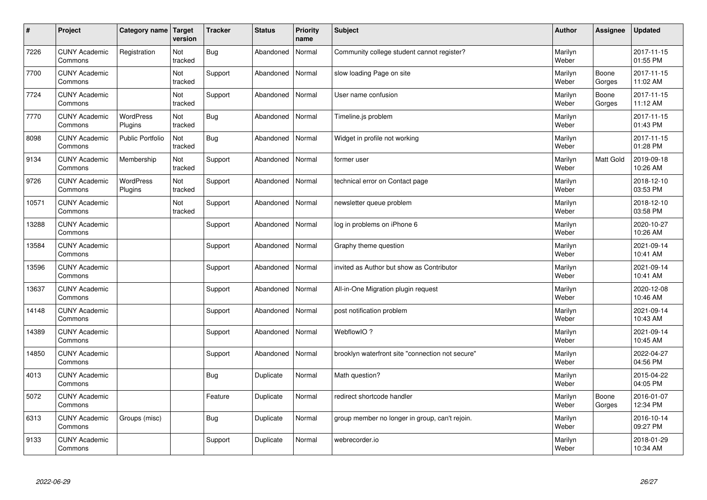| $\sharp$ | Project                         | Category name   Target      | version        | <b>Tracker</b> | <b>Status</b> | <b>Priority</b><br>name | <b>Subject</b>                                   | <b>Author</b>    | Assignee         | Updated                |
|----------|---------------------------------|-----------------------------|----------------|----------------|---------------|-------------------------|--------------------------------------------------|------------------|------------------|------------------------|
| 7226     | <b>CUNY Academic</b><br>Commons | Registration                | Not<br>tracked | <b>Bug</b>     | Abandoned     | Normal                  | Community college student cannot register?       | Marilyn<br>Weber |                  | 2017-11-15<br>01:55 PM |
| 7700     | <b>CUNY Academic</b><br>Commons |                             | Not<br>tracked | Support        | Abandoned     | Normal                  | slow loading Page on site                        | Marilyn<br>Weber | Boone<br>Gorges  | 2017-11-15<br>11:02 AM |
| 7724     | <b>CUNY Academic</b><br>Commons |                             | Not<br>tracked | Support        | Abandoned     | Normal                  | User name confusion                              | Marilyn<br>Weber | Boone<br>Gorges  | 2017-11-15<br>11:12 AM |
| 7770     | <b>CUNY Academic</b><br>Commons | <b>WordPress</b><br>Plugins | Not<br>tracked | <b>Bug</b>     | Abandoned     | Normal                  | Timeline.js problem                              | Marilyn<br>Weber |                  | 2017-11-15<br>01:43 PM |
| 8098     | <b>CUNY Academic</b><br>Commons | <b>Public Portfolio</b>     | Not<br>tracked | Bug            | Abandoned     | Normal                  | Widget in profile not working                    | Marilyn<br>Weber |                  | 2017-11-15<br>01:28 PM |
| 9134     | <b>CUNY Academic</b><br>Commons | Membership                  | Not<br>tracked | Support        | Abandoned     | Normal                  | former user                                      | Marilyn<br>Weber | <b>Matt Gold</b> | 2019-09-18<br>10:26 AM |
| 9726     | <b>CUNY Academic</b><br>Commons | <b>WordPress</b><br>Plugins | Not<br>tracked | Support        | Abandoned     | Normal                  | technical error on Contact page                  | Marilyn<br>Weber |                  | 2018-12-10<br>03:53 PM |
| 10571    | <b>CUNY Academic</b><br>Commons |                             | Not<br>tracked | Support        | Abandoned     | Normal                  | newsletter queue problem                         | Marilyn<br>Weber |                  | 2018-12-10<br>03:58 PM |
| 13288    | <b>CUNY Academic</b><br>Commons |                             |                | Support        | Abandoned     | Normal                  | log in problems on iPhone 6                      | Marilyn<br>Weber |                  | 2020-10-27<br>10:26 AM |
| 13584    | <b>CUNY Academic</b><br>Commons |                             |                | Support        | Abandoned     | Normal                  | Graphy theme question                            | Marilyn<br>Weber |                  | 2021-09-14<br>10:41 AM |
| 13596    | <b>CUNY Academic</b><br>Commons |                             |                | Support        | Abandoned     | Normal                  | invited as Author but show as Contributor        | Marilyn<br>Weber |                  | 2021-09-14<br>10:41 AM |
| 13637    | <b>CUNY Academic</b><br>Commons |                             |                | Support        | Abandoned     | Normal                  | All-in-One Migration plugin request              | Marilyn<br>Weber |                  | 2020-12-08<br>10:46 AM |
| 14148    | <b>CUNY Academic</b><br>Commons |                             |                | Support        | Abandoned     | Normal                  | post notification problem                        | Marilyn<br>Weber |                  | 2021-09-14<br>10:43 AM |
| 14389    | <b>CUNY Academic</b><br>Commons |                             |                | Support        | Abandoned     | Normal                  | WebflowIO?                                       | Marilyn<br>Weber |                  | 2021-09-14<br>10:45 AM |
| 14850    | <b>CUNY Academic</b><br>Commons |                             |                | Support        | Abandoned     | Normal                  | brooklyn waterfront site "connection not secure" | Marilyn<br>Weber |                  | 2022-04-27<br>04:56 PM |
| 4013     | <b>CUNY Academic</b><br>Commons |                             |                | <b>Bug</b>     | Duplicate     | Normal                  | Math question?                                   | Marilyn<br>Weber |                  | 2015-04-22<br>04:05 PM |
| 5072     | <b>CUNY Academic</b><br>Commons |                             |                | Feature        | Duplicate     | Normal                  | redirect shortcode handler                       | Marilyn<br>Weber | Boone<br>Gorges  | 2016-01-07<br>12:34 PM |
| 6313     | <b>CUNY Academic</b><br>Commons | Groups (misc)               |                | Bug            | Duplicate     | Normal                  | group member no longer in group, can't rejoin.   | Marilyn<br>Weber |                  | 2016-10-14<br>09:27 PM |
| 9133     | <b>CUNY Academic</b><br>Commons |                             |                | Support        | Duplicate     | Normal                  | webrecorder.io                                   | Marilyn<br>Weber |                  | 2018-01-29<br>10:34 AM |